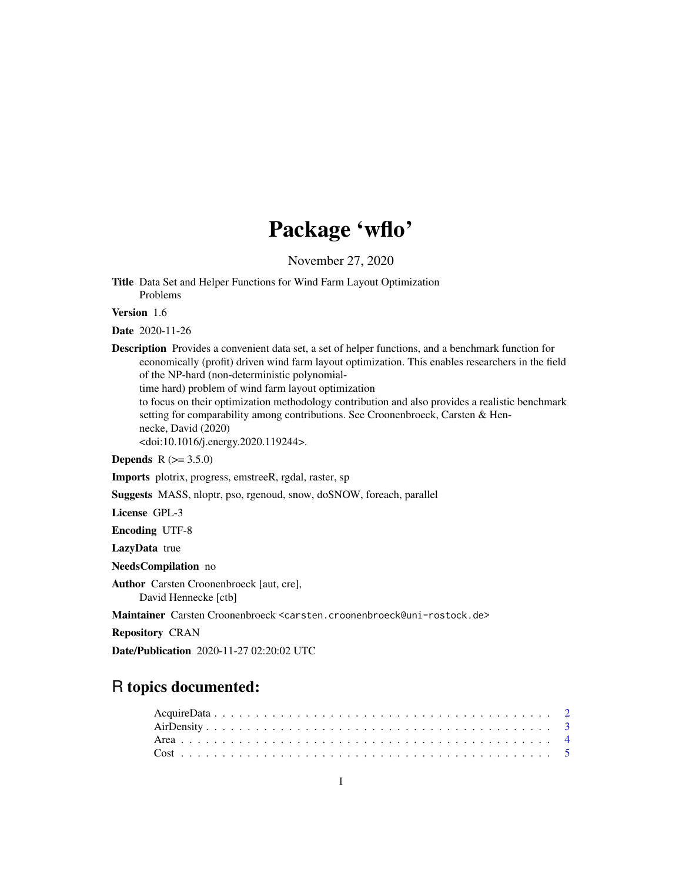# Package 'wflo'

November 27, 2020

<span id="page-0-0"></span>Title Data Set and Helper Functions for Wind Farm Layout Optimization Problems

Version 1.6

Date 2020-11-26

Description Provides a convenient data set, a set of helper functions, and a benchmark function for economically (profit) driven wind farm layout optimization. This enables researchers in the field of the NP-hard (non-deterministic polynomial-

time hard) problem of wind farm layout optimization

to focus on their optimization methodology contribution and also provides a realistic benchmark setting for comparability among contributions. See Croonenbroeck, Carsten & Hennecke, David (2020)

<doi:10.1016/j.energy.2020.119244>.

**Depends** R  $(>= 3.5.0)$ 

Imports plotrix, progress, emstreeR, rgdal, raster, sp

Suggests MASS, nloptr, pso, rgenoud, snow, doSNOW, foreach, parallel

License GPL-3

Encoding UTF-8

LazyData true

NeedsCompilation no

Author Carsten Croonenbroeck [aut, cre],

David Hennecke [ctb]

Maintainer Carsten Croonenbroeck <carsten.croonenbroeck@uni-rostock.de>

Repository CRAN

Date/Publication 2020-11-27 02:20:02 UTC

# R topics documented: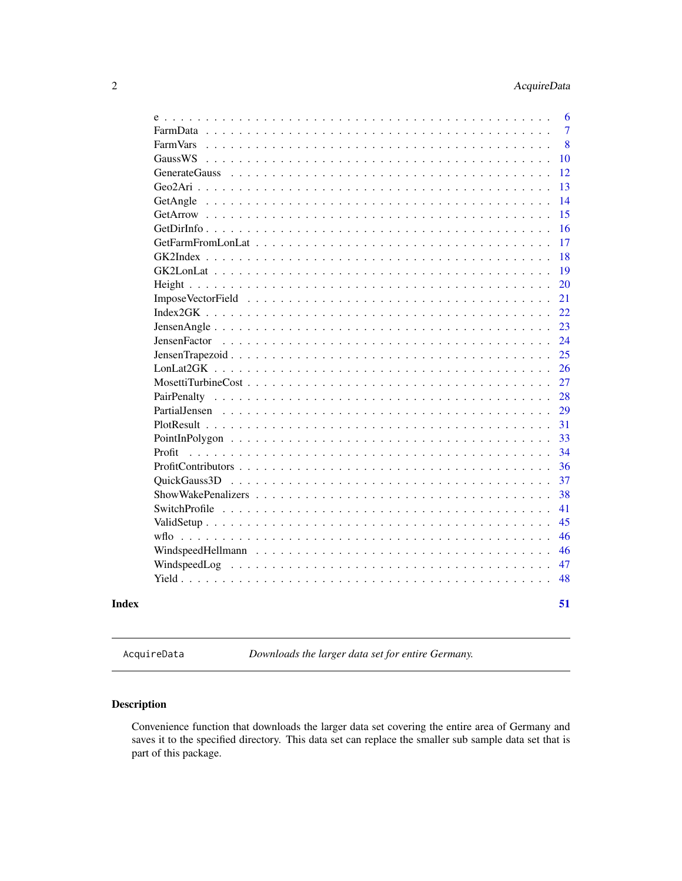<span id="page-1-0"></span>

| <b>FarmVars</b> |  |  |  |  |  |  |  |  |  |  |  |  |  |
|-----------------|--|--|--|--|--|--|--|--|--|--|--|--|--|
| GaussWS         |  |  |  |  |  |  |  |  |  |  |  |  |  |
|                 |  |  |  |  |  |  |  |  |  |  |  |  |  |
|                 |  |  |  |  |  |  |  |  |  |  |  |  |  |
| GetAngle        |  |  |  |  |  |  |  |  |  |  |  |  |  |
|                 |  |  |  |  |  |  |  |  |  |  |  |  |  |
|                 |  |  |  |  |  |  |  |  |  |  |  |  |  |
|                 |  |  |  |  |  |  |  |  |  |  |  |  |  |
|                 |  |  |  |  |  |  |  |  |  |  |  |  |  |
|                 |  |  |  |  |  |  |  |  |  |  |  |  |  |
|                 |  |  |  |  |  |  |  |  |  |  |  |  |  |
|                 |  |  |  |  |  |  |  |  |  |  |  |  |  |
|                 |  |  |  |  |  |  |  |  |  |  |  |  |  |
|                 |  |  |  |  |  |  |  |  |  |  |  |  |  |
|                 |  |  |  |  |  |  |  |  |  |  |  |  |  |
|                 |  |  |  |  |  |  |  |  |  |  |  |  |  |
|                 |  |  |  |  |  |  |  |  |  |  |  |  |  |
|                 |  |  |  |  |  |  |  |  |  |  |  |  |  |
|                 |  |  |  |  |  |  |  |  |  |  |  |  |  |
|                 |  |  |  |  |  |  |  |  |  |  |  |  |  |
|                 |  |  |  |  |  |  |  |  |  |  |  |  |  |
|                 |  |  |  |  |  |  |  |  |  |  |  |  |  |
| Profit          |  |  |  |  |  |  |  |  |  |  |  |  |  |
|                 |  |  |  |  |  |  |  |  |  |  |  |  |  |
|                 |  |  |  |  |  |  |  |  |  |  |  |  |  |
|                 |  |  |  |  |  |  |  |  |  |  |  |  |  |
|                 |  |  |  |  |  |  |  |  |  |  |  |  |  |
|                 |  |  |  |  |  |  |  |  |  |  |  |  |  |
|                 |  |  |  |  |  |  |  |  |  |  |  |  |  |
|                 |  |  |  |  |  |  |  |  |  |  |  |  |  |
|                 |  |  |  |  |  |  |  |  |  |  |  |  |  |
|                 |  |  |  |  |  |  |  |  |  |  |  |  |  |
|                 |  |  |  |  |  |  |  |  |  |  |  |  |  |

<span id="page-1-1"></span>AcquireData *Downloads the larger data set for entire Germany.*

# Description

Convenience function that downloads the larger data set covering the entire area of Germany and saves it to the specified directory. This data set can replace the smaller sub sample data set that is part of this package.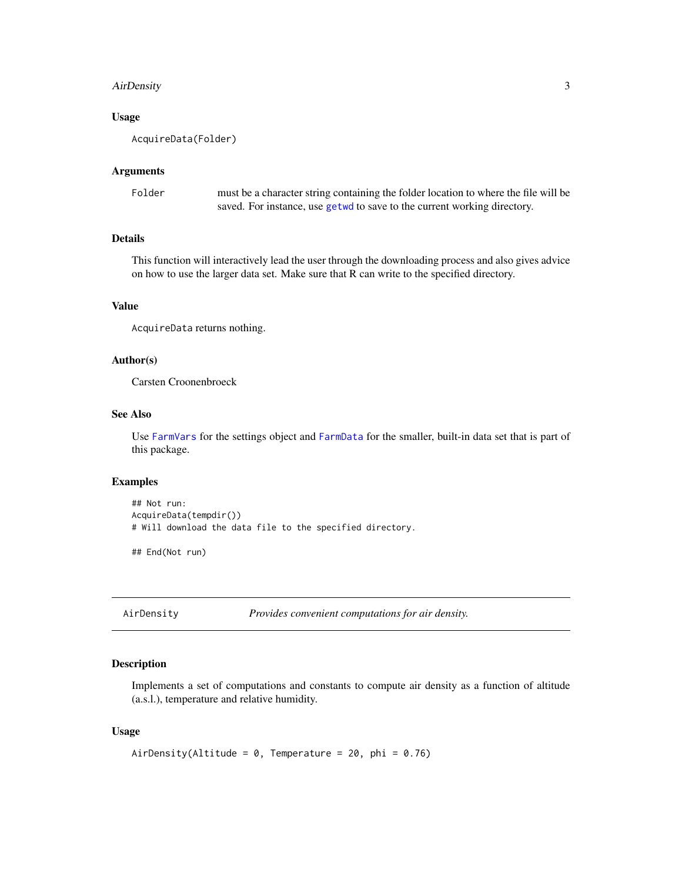# <span id="page-2-0"></span>AirDensity 3

#### Usage

AcquireData(Folder)

# Arguments

| Folder | must be a character string containing the folder location to where the file will be |
|--------|-------------------------------------------------------------------------------------|
|        | saved. For instance, use getwo to save to the current working directory.            |

# Details

This function will interactively lead the user through the downloading process and also gives advice on how to use the larger data set. Make sure that R can write to the specified directory.

# Value

AcquireData returns nothing.

# Author(s)

Carsten Croonenbroeck

#### See Also

Use [FarmVars](#page-7-1) for the settings object and [FarmData](#page-6-1) for the smaller, built-in data set that is part of this package.

#### Examples

```
## Not run:
AcquireData(tempdir())
# Will download the data file to the specified directory.
```
## End(Not run)

AirDensity *Provides convenient computations for air density.*

#### Description

Implements a set of computations and constants to compute air density as a function of altitude (a.s.l.), temperature and relative humidity.

# Usage

```
AirDensity(Altitude = 0, Temperature = 20, phi = 0.76)
```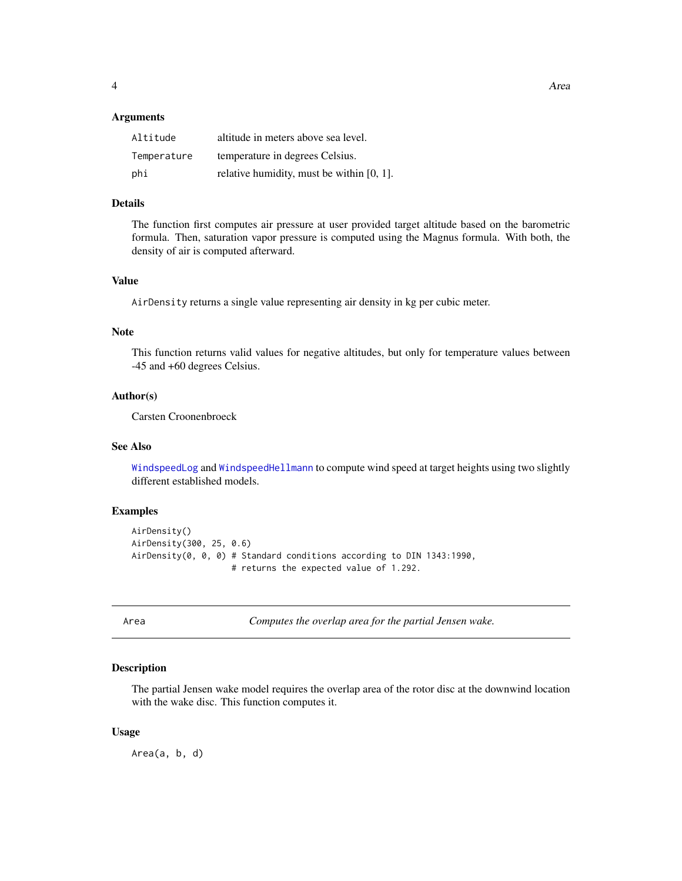#### <span id="page-3-0"></span>Arguments

| Altitude    | altitude in meters above sea level.          |
|-------------|----------------------------------------------|
| Temperature | temperature in degrees Celsius.              |
| phi         | relative humidity, must be within $[0, 1]$ . |

# Details

The function first computes air pressure at user provided target altitude based on the barometric formula. Then, saturation vapor pressure is computed using the Magnus formula. With both, the density of air is computed afterward.

# Value

AirDensity returns a single value representing air density in kg per cubic meter.

#### Note

This function returns valid values for negative altitudes, but only for temperature values between -45 and +60 degrees Celsius.

#### Author(s)

Carsten Croonenbroeck

# See Also

[WindspeedLog](#page-46-1) and [WindspeedHellmann](#page-45-1) to compute wind speed at target heights using two slightly different established models.

#### Examples

```
AirDensity()
AirDensity(300, 25, 0.6)
AirDensity(0, 0, 0) # Standard conditions according to DIN 1343:1990,
                    # returns the expected value of 1.292.
```
Area *Computes the overlap area for the partial Jensen wake.*

#### Description

The partial Jensen wake model requires the overlap area of the rotor disc at the downwind location with the wake disc. This function computes it.

#### Usage

Area(a, b, d)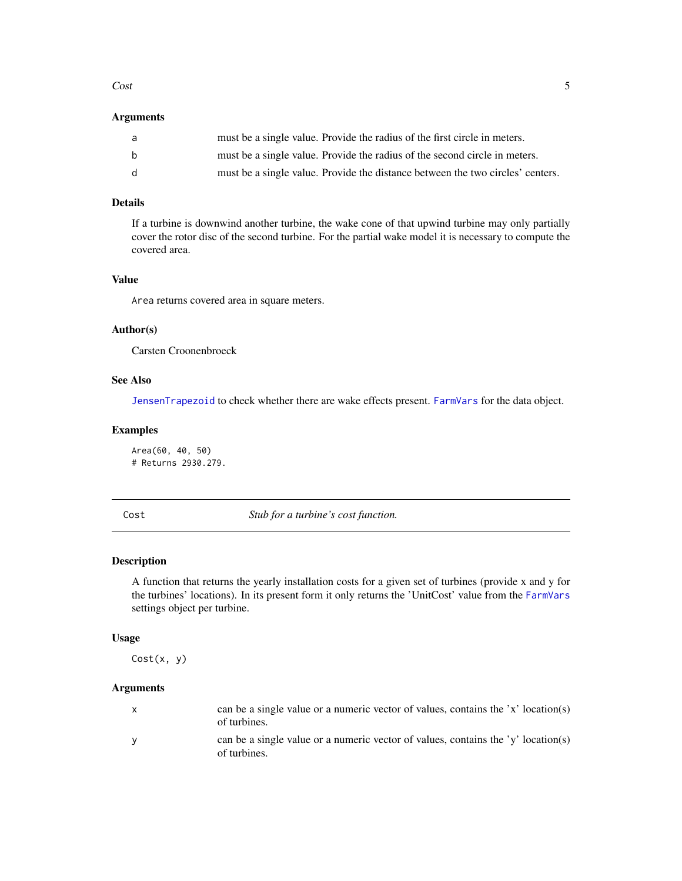#### <span id="page-4-0"></span> $\cosh$  5

# Arguments

| a            | must be a single value. Provide the radius of the first circle in meters.      |
|--------------|--------------------------------------------------------------------------------|
| b            | must be a single value. Provide the radius of the second circle in meters.     |
| <sub>d</sub> | must be a single value. Provide the distance between the two circles' centers. |

# Details

If a turbine is downwind another turbine, the wake cone of that upwind turbine may only partially cover the rotor disc of the second turbine. For the partial wake model it is necessary to compute the covered area.

#### Value

Area returns covered area in square meters.

# Author(s)

Carsten Croonenbroeck

# See Also

[JensenTrapezoid](#page-24-1) to check whether there are wake effects present. [FarmVars](#page-7-1) for the data object.

# Examples

Area(60, 40, 50) # Returns 2930.279.

<span id="page-4-1"></span>Cost *Stub for a turbine's cost function.*

## Description

A function that returns the yearly installation costs for a given set of turbines (provide x and y for the turbines' locations). In its present form it only returns the 'UnitCost' value from the [FarmVars](#page-7-1) settings object per turbine.

## Usage

Cost(x, y)

# Arguments

| $\mathsf{x}$ | can be a single value or a numeric vector of values, contains the 'x' location(s)<br>of turbines. |
|--------------|---------------------------------------------------------------------------------------------------|
| $\mathsf{V}$ | can be a single value or a numeric vector of values, contains the 'y' location(s)<br>of turbines. |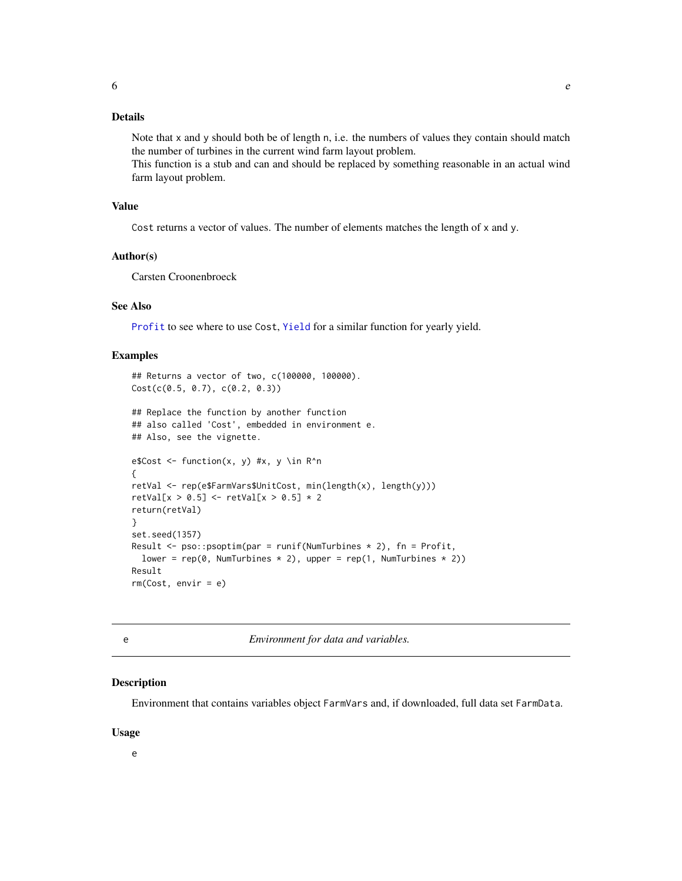# <span id="page-5-0"></span>Details

Note that x and y should both be of length n, i.e. the numbers of values they contain should match the number of turbines in the current wind farm layout problem.

This function is a stub and can and should be replaced by something reasonable in an actual wind farm layout problem.

#### Value

Cost returns a vector of values. The number of elements matches the length of x and y.

#### Author(s)

Carsten Croonenbroeck

# See Also

[Profit](#page-33-1) to see where to use Cost, [Yield](#page-47-1) for a similar function for yearly yield.

# Examples

```
## Returns a vector of two, c(100000, 100000).
Cost(c(0.5, 0.7), c(0.2, 0.3))
## Replace the function by another function
## also called 'Cost', embedded in environment e.
## Also, see the vignette.
e$Cost <- function(x, y) #x, y \in R^n
{
retVal <- rep(e$FarmVars$UnitCost, min(length(x), length(y)))
retVal[x > 0.5] < - retVal[x > 0.5] * 2return(retVal)
}
set.seed(1357)
Result \leq pso:: psoptim(par = runif(NumTurbines * 2), fn = Profit,
  lower = rep(0, NumTurbines * 2), upper = rep(1, NumTurbines * 2)Result
rm(Cost, envir = e)
```
e *Environment for data and variables.*

# Description

Environment that contains variables object FarmVars and, if downloaded, full data set FarmData.

# Usage

e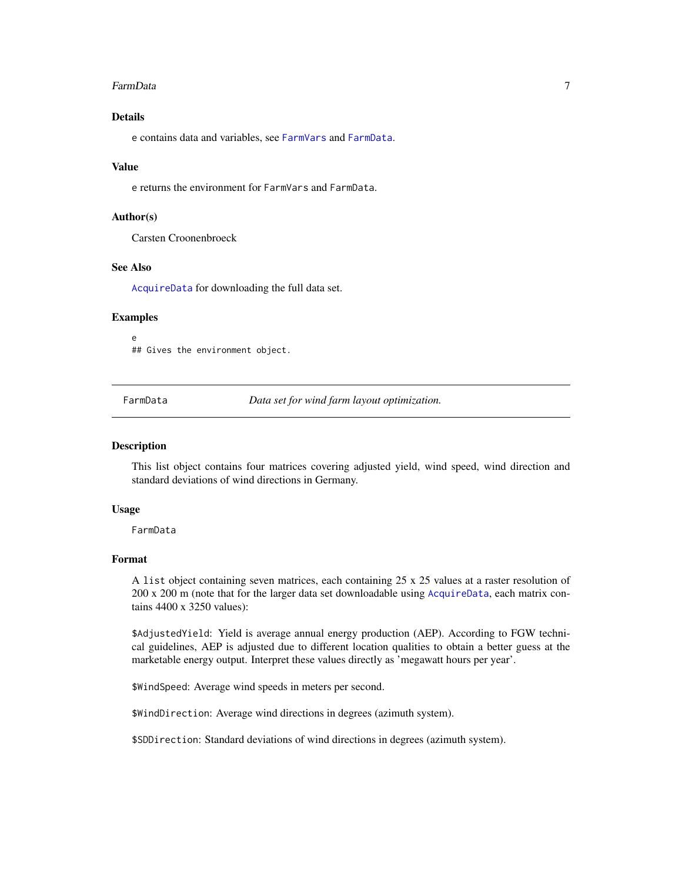#### <span id="page-6-0"></span>FarmData 7

# Details

e contains data and variables, see [FarmVars](#page-7-1) and [FarmData](#page-6-1).

#### Value

e returns the environment for FarmVars and FarmData.

# Author(s)

Carsten Croonenbroeck

# See Also

[AcquireData](#page-1-1) for downloading the full data set.

# Examples

e ## Gives the environment object.

<span id="page-6-1"></span>FarmData *Data set for wind farm layout optimization.*

#### Description

This list object contains four matrices covering adjusted yield, wind speed, wind direction and standard deviations of wind directions in Germany.

#### Usage

FarmData

# Format

A list object containing seven matrices, each containing 25 x 25 values at a raster resolution of 200 x 200 m (note that for the larger data set downloadable using [AcquireData](#page-1-1), each matrix contains 4400 x 3250 values):

\$AdjustedYield: Yield is average annual energy production (AEP). According to FGW technical guidelines, AEP is adjusted due to different location qualities to obtain a better guess at the marketable energy output. Interpret these values directly as 'megawatt hours per year'.

\$WindSpeed: Average wind speeds in meters per second.

\$WindDirection: Average wind directions in degrees (azimuth system).

\$SDDirection: Standard deviations of wind directions in degrees (azimuth system).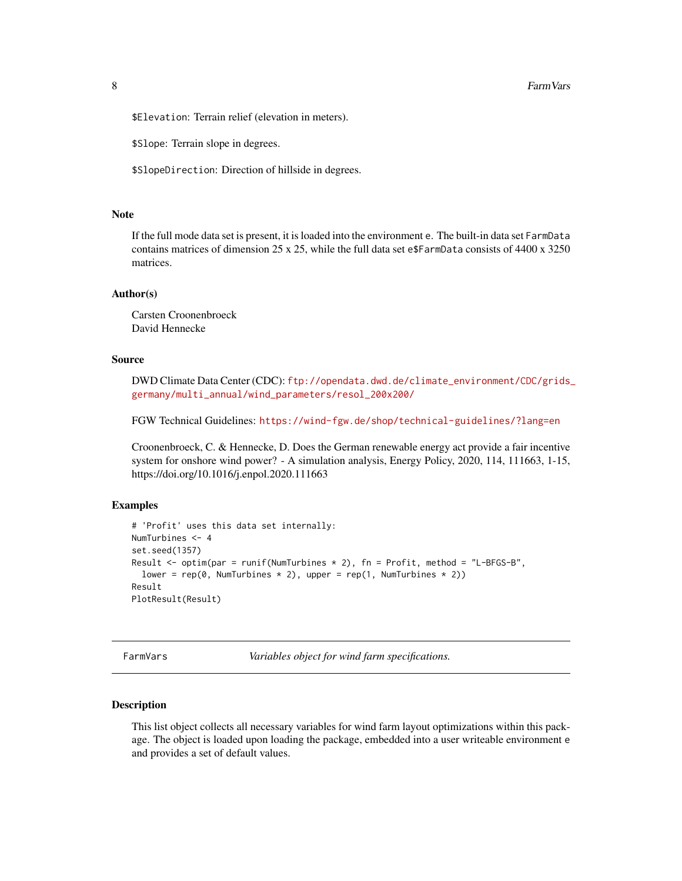<span id="page-7-0"></span>\$Elevation: Terrain relief (elevation in meters).

\$Slope: Terrain slope in degrees.

\$SlopeDirection: Direction of hillside in degrees.

# **Note**

If the full mode data set is present, it is loaded into the environment e. The built-in data set FarmData contains matrices of dimension 25 x 25, while the full data set e\$FarmData consists of 4400 x 3250 matrices.

#### Author(s)

Carsten Croonenbroeck David Hennecke

# Source

DWD Climate Data Center (CDC): [ftp://opendata.dwd.de/climate\\_environment/CDC/grids\\_](ftp://opendata.dwd.de/climate_environment/CDC/grids_germany/multi_annual/wind_parameters/resol_200x200/) [germany/multi\\_annual/wind\\_parameters/resol\\_200x200/](ftp://opendata.dwd.de/climate_environment/CDC/grids_germany/multi_annual/wind_parameters/resol_200x200/)

FGW Technical Guidelines: <https://wind-fgw.de/shop/technical-guidelines/?lang=en>

Croonenbroeck, C. & Hennecke, D. Does the German renewable energy act provide a fair incentive system for onshore wind power? - A simulation analysis, Energy Policy, 2020, 114, 111663, 1-15, https://doi.org/10.1016/j.enpol.2020.111663

#### Examples

```
# 'Profit' uses this data set internally:
NumTurbines <- 4
set.seed(1357)
Result \le optim(par = runif(NumTurbines \neq 2), fn = Profit, method = "L-BFGS-B",
  lower = rep(0, NumTurbines * 2), upper = rep(1, NumTurbines * 2)Result
PlotResult(Result)
```
<span id="page-7-1"></span>FarmVars *Variables object for wind farm specifications.*

#### Description

This list object collects all necessary variables for wind farm layout optimizations within this package. The object is loaded upon loading the package, embedded into a user writeable environment e and provides a set of default values.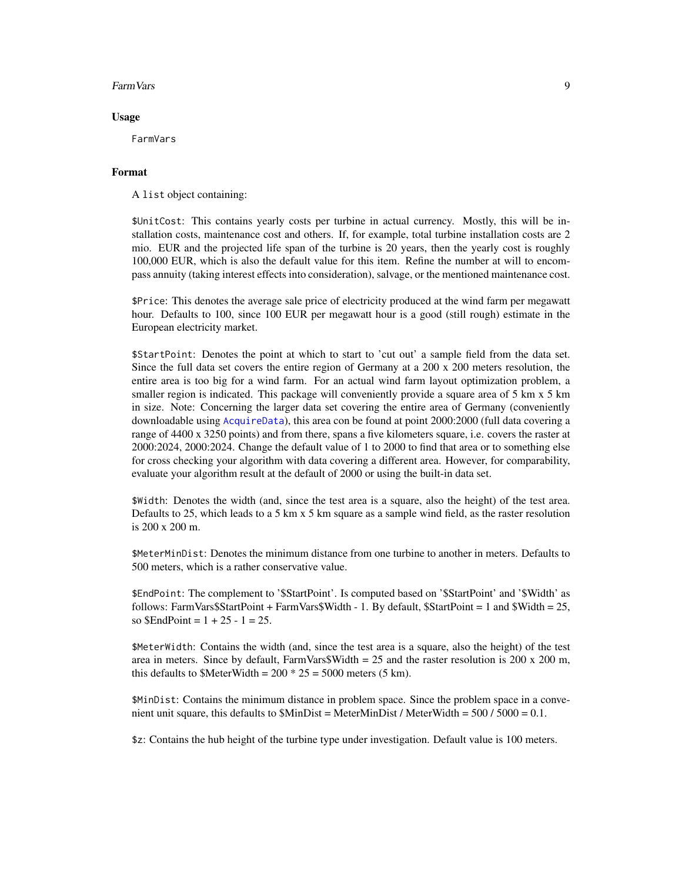#### <span id="page-8-0"></span>Farm Vars 2008 **Farm Vars** 2008 **Particular 2008 Particular 2009 Particular 2009**

#### Usage

FarmVars

# Format

A list object containing:

\$UnitCost: This contains yearly costs per turbine in actual currency. Mostly, this will be installation costs, maintenance cost and others. If, for example, total turbine installation costs are 2 mio. EUR and the projected life span of the turbine is 20 years, then the yearly cost is roughly 100,000 EUR, which is also the default value for this item. Refine the number at will to encompass annuity (taking interest effects into consideration), salvage, or the mentioned maintenance cost.

\$Price: This denotes the average sale price of electricity produced at the wind farm per megawatt hour. Defaults to 100, since 100 EUR per megawatt hour is a good (still rough) estimate in the European electricity market.

\$StartPoint: Denotes the point at which to start to 'cut out' a sample field from the data set. Since the full data set covers the entire region of Germany at a 200 x 200 meters resolution, the entire area is too big for a wind farm. For an actual wind farm layout optimization problem, a smaller region is indicated. This package will conveniently provide a square area of 5 km x 5 km in size. Note: Concerning the larger data set covering the entire area of Germany (conveniently downloadable using [AcquireData](#page-1-1)), this area con be found at point 2000:2000 (full data covering a range of 4400 x 3250 points) and from there, spans a five kilometers square, i.e. covers the raster at 2000:2024, 2000:2024. Change the default value of 1 to 2000 to find that area or to something else for cross checking your algorithm with data covering a different area. However, for comparability, evaluate your algorithm result at the default of 2000 or using the built-in data set.

\$Width: Denotes the width (and, since the test area is a square, also the height) of the test area. Defaults to 25, which leads to a 5 km x 5 km square as a sample wind field, as the raster resolution is 200 x 200 m.

\$MeterMinDist: Denotes the minimum distance from one turbine to another in meters. Defaults to 500 meters, which is a rather conservative value.

\$EndPoint: The complement to '\$StartPoint'. Is computed based on '\$StartPoint' and '\$Width' as follows: FarmVars\$StartPoint + FarmVars\$Width - 1. By default, \$StartPoint = 1 and \$Width = 25, so  $$EndPoint = 1 + 25 - 1 = 25$ .

\$MeterWidth: Contains the width (and, since the test area is a square, also the height) of the test area in meters. Since by default, FarmVars\$Width =  $25$  and the raster resolution is  $200 \times 200$  m, this defaults to \$MeterWidth =  $200 * 25 = 5000$  meters (5 km).

\$MinDist: Contains the minimum distance in problem space. Since the problem space in a convenient unit square, this defaults to  $MinDist = MeterMinDist / MeterWidth = 500 / 5000 = 0.1$ .

\$z: Contains the hub height of the turbine type under investigation. Default value is 100 meters.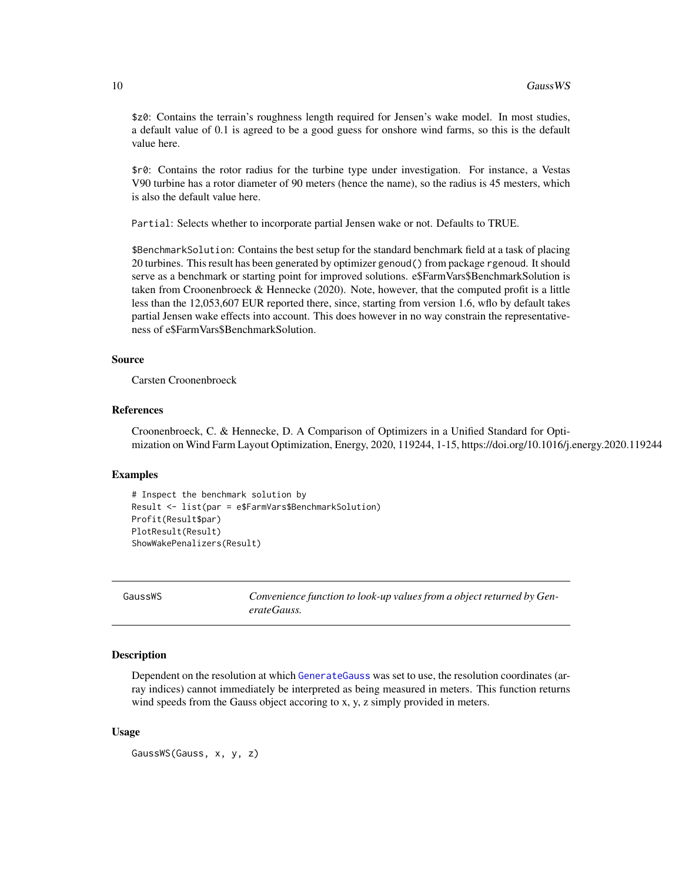<span id="page-9-0"></span>\$z0: Contains the terrain's roughness length required for Jensen's wake model. In most studies, a default value of 0.1 is agreed to be a good guess for onshore wind farms, so this is the default value here.

\$r0: Contains the rotor radius for the turbine type under investigation. For instance, a Vestas V90 turbine has a rotor diameter of 90 meters (hence the name), so the radius is 45 mesters, which is also the default value here.

Partial: Selects whether to incorporate partial Jensen wake or not. Defaults to TRUE.

\$BenchmarkSolution: Contains the best setup for the standard benchmark field at a task of placing 20 turbines. This result has been generated by optimizer genoud() from package rgenoud. It should serve as a benchmark or starting point for improved solutions. e\$FarmVars\$BenchmarkSolution is taken from Croonenbroeck & Hennecke (2020). Note, however, that the computed profit is a little less than the 12,053,607 EUR reported there, since, starting from version 1.6, wflo by default takes partial Jensen wake effects into account. This does however in no way constrain the representativeness of e\$FarmVars\$BenchmarkSolution.

#### Source

Carsten Croonenbroeck

#### References

Croonenbroeck, C. & Hennecke, D. A Comparison of Optimizers in a Unified Standard for Optimization on Wind Farm Layout Optimization, Energy, 2020, 119244, 1-15, https://doi.org/10.1016/j.energy.2020.119244

#### Examples

```
# Inspect the benchmark solution by
Result <- list(par = e$FarmVars$BenchmarkSolution)
Profit(Result$par)
PlotResult(Result)
ShowWakePenalizers(Result)
```
<span id="page-9-1"></span>GaussWS *Convenience function to look-up values from a object returned by GenerateGauss.*

#### Description

Dependent on the resolution at which [GenerateGauss](#page-11-1) was set to use, the resolution coordinates (array indices) cannot immediately be interpreted as being measured in meters. This function returns wind speeds from the Gauss object accoring to x, y, z simply provided in meters.

#### Usage

GaussWS(Gauss, x, y, z)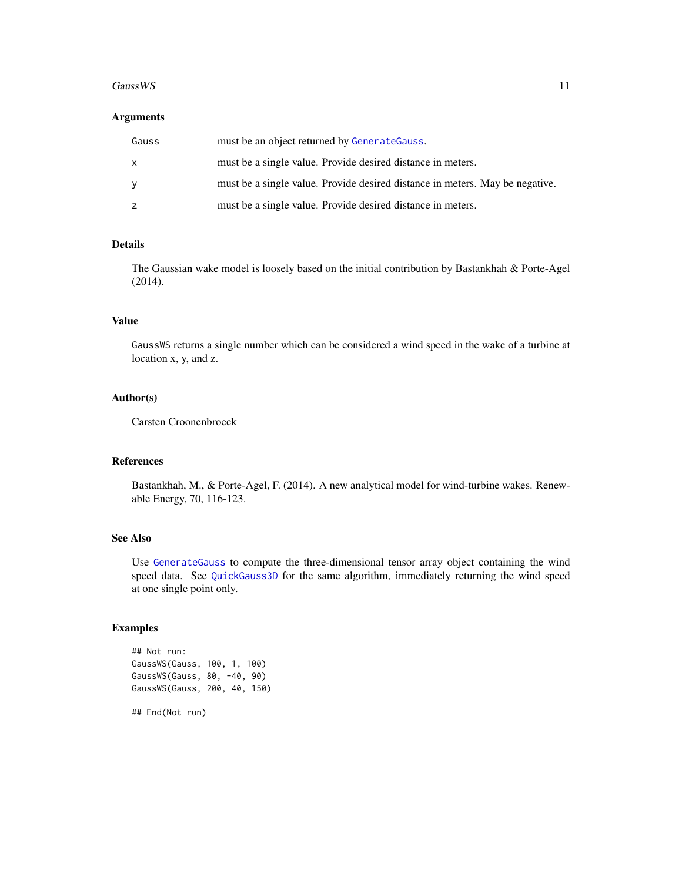#### <span id="page-10-0"></span>GaussWS 11

#### Arguments

| Gauss | must be an object returned by Generate Gauss.                                |
|-------|------------------------------------------------------------------------------|
|       | must be a single value. Provide desired distance in meters.                  |
|       | must be a single value. Provide desired distance in meters. May be negative. |
| z     | must be a single value. Provide desired distance in meters.                  |

# Details

The Gaussian wake model is loosely based on the initial contribution by Bastankhah & Porte-Agel (2014).

# Value

GaussWS returns a single number which can be considered a wind speed in the wake of a turbine at location x, y, and z.

# Author(s)

Carsten Croonenbroeck

#### References

Bastankhah, M., & Porte-Agel, F. (2014). A new analytical model for wind-turbine wakes. Renewable Energy, 70, 116-123.

# See Also

Use [GenerateGauss](#page-11-1) to compute the three-dimensional tensor array object containing the wind speed data. See [QuickGauss3D](#page-36-1) for the same algorithm, immediately returning the wind speed at one single point only.

# Examples

```
## Not run:
GaussWS(Gauss, 100, 1, 100)
GaussWS(Gauss, 80, -40, 90)
GaussWS(Gauss, 200, 40, 150)
## End(Not run)
```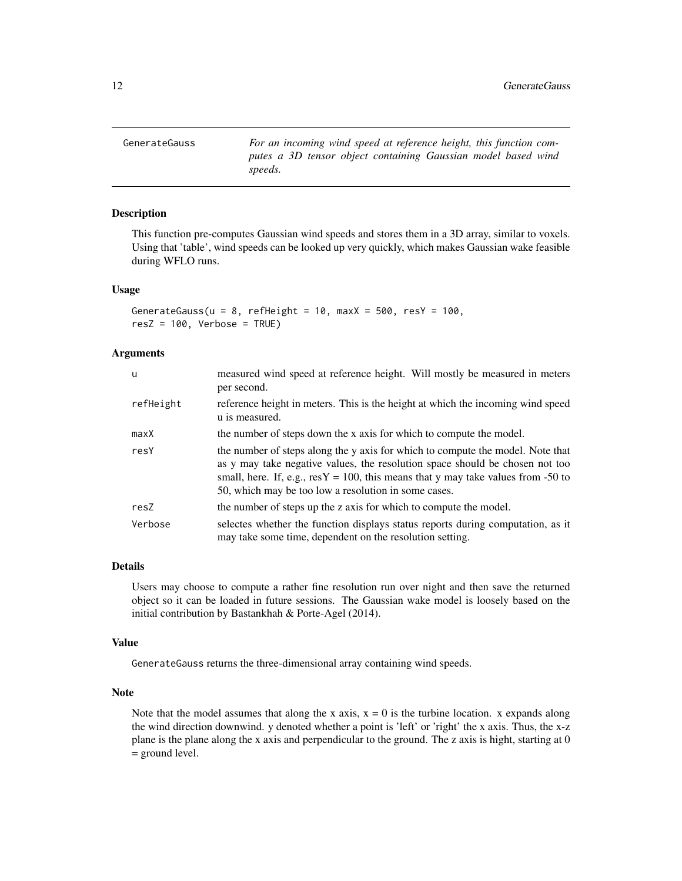<span id="page-11-1"></span><span id="page-11-0"></span>GenerateGauss *For an incoming wind speed at reference height, this function computes a 3D tensor object containing Gaussian model based wind speeds.*

# **Description**

This function pre-computes Gaussian wind speeds and stores them in a 3D array, similar to voxels. Using that 'table', wind speeds can be looked up very quickly, which makes Gaussian wake feasible during WFLO runs.

#### Usage

```
GenerateGauss(u = 8, refHeight = 10, maxX = 500, resY = 100,
resZ = 100, Verbose = TRUE)
```
# Arguments

| u         | measured wind speed at reference height. Will mostly be measured in meters<br>per second.                                                                                                                                                                                                                     |
|-----------|---------------------------------------------------------------------------------------------------------------------------------------------------------------------------------------------------------------------------------------------------------------------------------------------------------------|
| refHeight | reference height in meters. This is the height at which the incoming wind speed<br>u is measured.                                                                                                                                                                                                             |
| maxX      | the number of steps down the x axis for which to compute the model.                                                                                                                                                                                                                                           |
| resY      | the number of steps along the y axis for which to compute the model. Note that<br>as y may take negative values, the resolution space should be chosen not too<br>small, here. If, e.g., $resY = 100$ , this means that y may take values from -50 to<br>50, which may be too low a resolution in some cases. |
| resZ      | the number of steps up the z axis for which to compute the model.                                                                                                                                                                                                                                             |
| Verbose   | selectes whether the function displays status reports during computation, as it<br>may take some time, dependent on the resolution setting.                                                                                                                                                                   |

#### Details

Users may choose to compute a rather fine resolution run over night and then save the returned object so it can be loaded in future sessions. The Gaussian wake model is loosely based on the initial contribution by Bastankhah & Porte-Agel (2014).

# Value

GenerateGauss returns the three-dimensional array containing wind speeds.

#### Note

Note that the model assumes that along the x axis,  $x = 0$  is the turbine location. x expands along the wind direction downwind. y denoted whether a point is 'left' or 'right' the x axis. Thus, the x-z plane is the plane along the x axis and perpendicular to the ground. The z axis is hight, starting at 0 = ground level.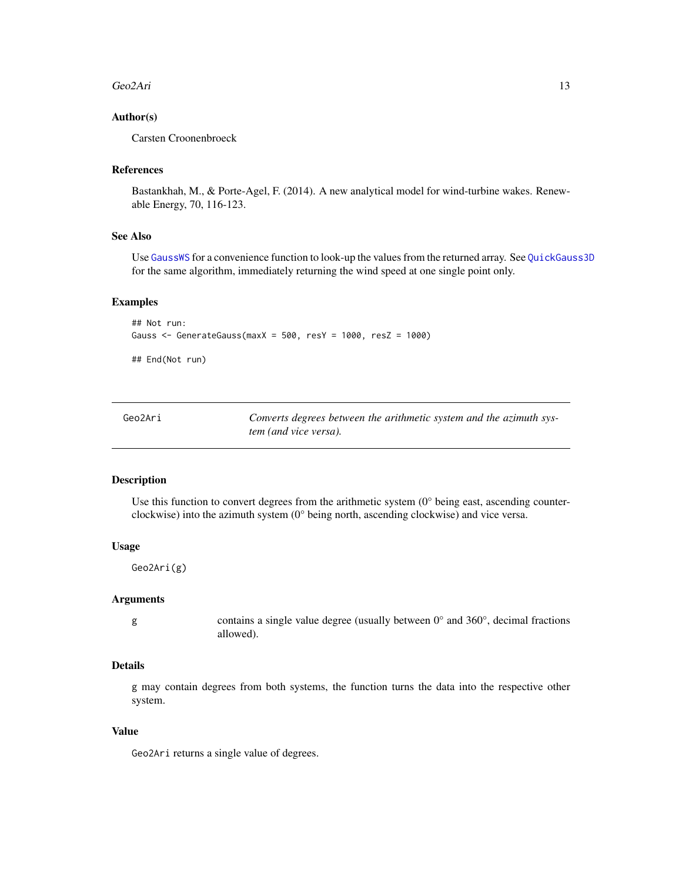#### <span id="page-12-0"></span>Geo2Ari 13

# Author(s)

Carsten Croonenbroeck

#### References

Bastankhah, M., & Porte-Agel, F. (2014). A new analytical model for wind-turbine wakes. Renewable Energy, 70, 116-123.

# See Also

Use [GaussWS](#page-9-1) for a convenience function to look-up the values from the returned array. See [QuickGauss3D](#page-36-1) for the same algorithm, immediately returning the wind speed at one single point only.

#### Examples

```
## Not run:
Gauss <- GenerateGauss(maxX = 500, resY = 1000, resZ = 1000)
```
## End(Not run)

<span id="page-12-1"></span>

| Geo2Ari | Converts degrees between the arithmetic system and the azimuth sys- |
|---------|---------------------------------------------------------------------|
|         | tem (and vice versa).                                               |

# Description

Use this function to convert degrees from the arithmetic system  $(0^{\circ}$  being east, ascending counterclockwise) into the azimuth system (0° being north, ascending clockwise) and vice versa.

# Usage

Geo2Ari(g)

# Arguments

g contains a single value degree (usually between 0° and 360°, decimal fractions allowed).

# Details

g may contain degrees from both systems, the function turns the data into the respective other system.

#### Value

Geo2Ari returns a single value of degrees.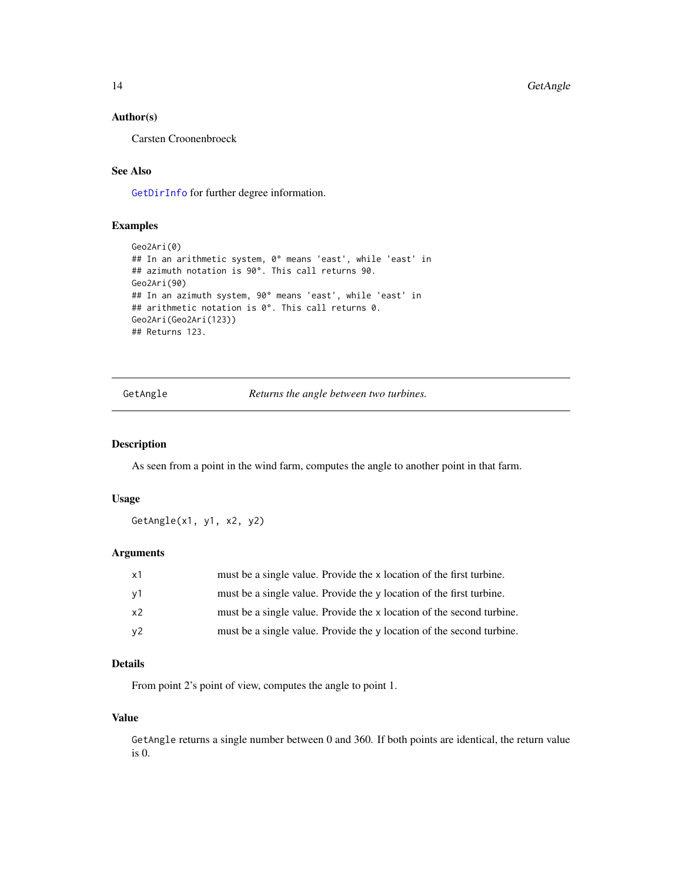# <span id="page-13-0"></span>Author(s)

Carsten Croonenbroeck

# See Also

[GetDirInfo](#page-15-1) for further degree information.

# Examples

```
Geo2Ari(0)
## In an arithmetic system, 0° means 'east', while 'east' in
## azimuth notation is 90°. This call returns 90.
Geo2Ari(90)
## In an azimuth system, 90° means 'east', while 'east' in
## arithmetic notation is 0°. This call returns 0.
Geo2Ari(Geo2Ari(123))
## Returns 123.
```
<span id="page-13-1"></span>GetAngle *Returns the angle between two turbines.*

#### Description

As seen from a point in the wind farm, computes the angle to another point in that farm.

#### Usage

GetAngle(x1, y1, x2, y2)

# Arguments

| $\times$ 1     | must be a single value. Provide the x location of the first turbine.  |
|----------------|-----------------------------------------------------------------------|
| y1             | must be a single value. Provide the y location of the first turbine.  |
| x2             | must be a single value. Provide the x location of the second turbine. |
| v <sub>2</sub> | must be a single value. Provide the y location of the second turbine. |

# Details

From point 2's point of view, computes the angle to point 1.

# Value

GetAngle returns a single number between 0 and 360. If both points are identical, the return value is 0.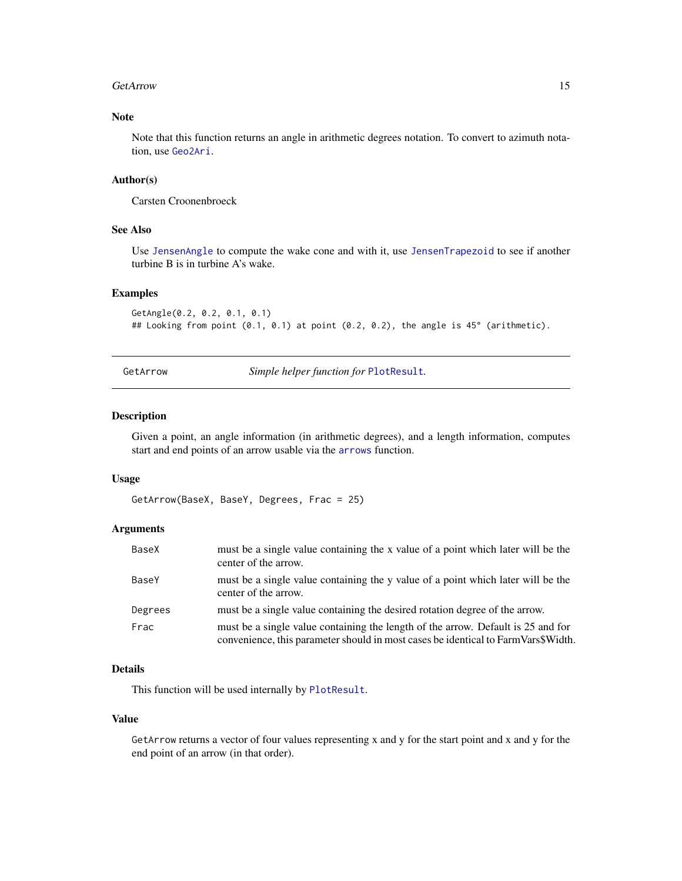#### <span id="page-14-0"></span>GetArrow 15

# Note

Note that this function returns an angle in arithmetic degrees notation. To convert to azimuth notation, use [Geo2Ari](#page-12-1).

## Author(s)

Carsten Croonenbroeck

# See Also

Use [JensenAngle](#page-22-1) to compute the wake cone and with it, use [JensenTrapezoid](#page-24-1) to see if another turbine B is in turbine A's wake.

# Examples

```
GetAngle(0.2, 0.2, 0.1, 0.1)
## Looking from point (0.1, 0.1) at point (0.2, 0.2), the angle is 45° (arithmetic).
```
<span id="page-14-1"></span>GetArrow *Simple helper function for* [PlotResult](#page-30-1)*.*

## Description

Given a point, an angle information (in arithmetic degrees), and a length information, computes start and end points of an arrow usable via the [arrows](#page-0-0) function.

#### Usage

GetArrow(BaseX, BaseY, Degrees, Frac = 25)

#### Arguments

| BaseX   | must be a single value containing the x value of a point which later will be the<br>center of the arrow.                                                              |
|---------|-----------------------------------------------------------------------------------------------------------------------------------------------------------------------|
| BaseY   | must be a single value containing the y value of a point which later will be the<br>center of the arrow.                                                              |
| Degrees | must be a single value containing the desired rotation degree of the arrow.                                                                                           |
| Frac    | must be a single value containing the length of the arrow. Default is 25 and for<br>convenience, this parameter should in most cases be identical to FarmVars\$Width. |

# Details

This function will be used internally by [PlotResult](#page-30-1).

#### Value

GetArrow returns a vector of four values representing x and y for the start point and x and y for the end point of an arrow (in that order).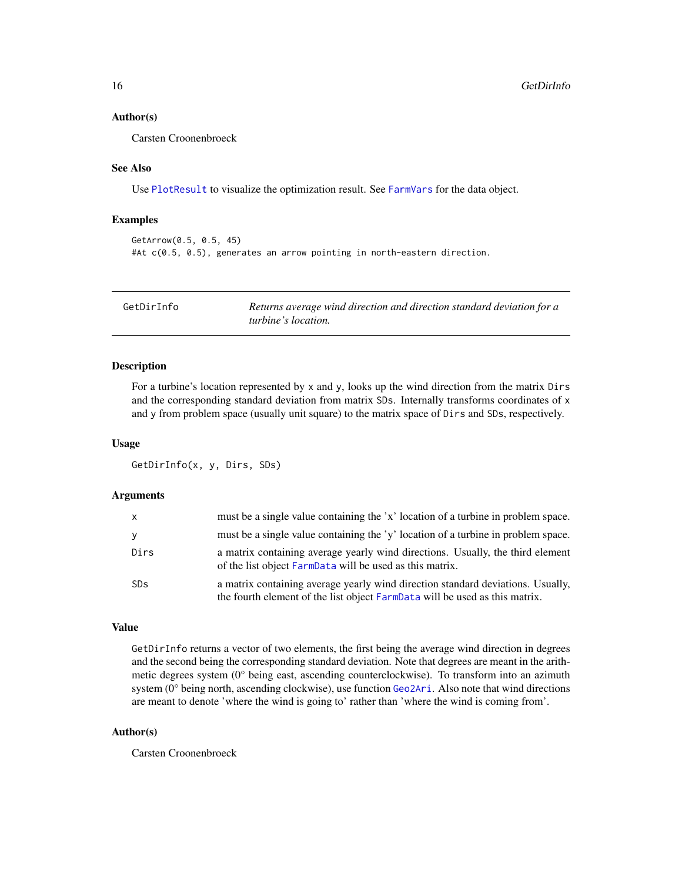#### <span id="page-15-0"></span>Author(s)

Carsten Croonenbroeck

# See Also

Use [PlotResult](#page-30-1) to visualize the optimization result. See [FarmVars](#page-7-1) for the data object.

# Examples

```
GetArrow(0.5, 0.5, 45)
#At c(0.5, 0.5), generates an arrow pointing in north-eastern direction.
```
<span id="page-15-1"></span>

| GetDirInfo | Returns average wind direction and direction standard deviation for a |
|------------|-----------------------------------------------------------------------|
|            | <i>turbine's location.</i>                                            |

# Description

For a turbine's location represented by  $x$  and  $y$ , looks up the wind direction from the matrix Dirs and the corresponding standard deviation from matrix SDs. Internally transforms coordinates of x and y from problem space (usually unit square) to the matrix space of Dirs and SDs, respectively.

#### Usage

GetDirInfo(x, y, Dirs, SDs)

# Arguments

| $\mathsf{x}$ | must be a single value containing the 'x' location of a turbine in problem space.                                                                              |
|--------------|----------------------------------------------------------------------------------------------------------------------------------------------------------------|
| y            | must be a single value containing the 'y' location of a turbine in problem space.                                                                              |
| Dirs         | a matrix containing average yearly wind directions. Usually, the third element<br>of the list object FarmData will be used as this matrix.                     |
| <b>SDs</b>   | a matrix containing average yearly wind direction standard deviations. Usually,<br>the fourth element of the list object FarmData will be used as this matrix. |

#### Value

GetDirInfo returns a vector of two elements, the first being the average wind direction in degrees and the second being the corresponding standard deviation. Note that degrees are meant in the arithmetic degrees system (0° being east, ascending counterclockwise). To transform into an azimuth system (0° being north, ascending clockwise), use function [Geo2Ari](#page-12-1). Also note that wind directions are meant to denote 'where the wind is going to' rather than 'where the wind is coming from'.

# Author(s)

Carsten Croonenbroeck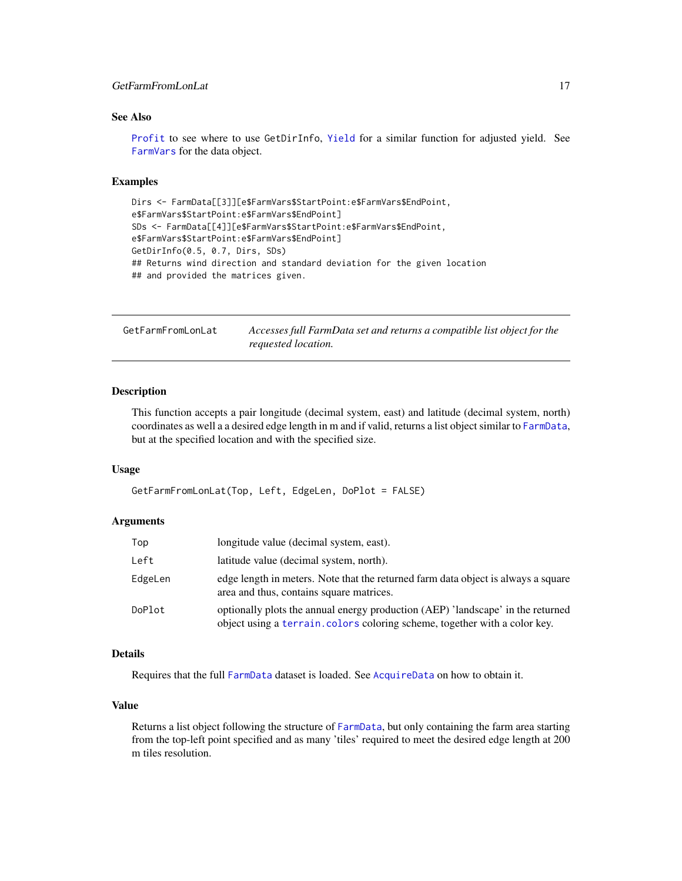# <span id="page-16-0"></span>GetFarmFromLonLat 17

# See Also

[Profit](#page-33-1) to see where to use GetDirInfo, [Yield](#page-47-1) for a similar function for adjusted yield. See [FarmVars](#page-7-1) for the data object.

#### Examples

```
Dirs <- FarmData[[3]][e$FarmVars$StartPoint:e$FarmVars$EndPoint,
e$FarmVars$StartPoint:e$FarmVars$EndPoint]
SDs <- FarmData[[4]][e$FarmVars$StartPoint:e$FarmVars$EndPoint,
e$FarmVars$StartPoint:e$FarmVars$EndPoint]
GetDirInfo(0.5, 0.7, Dirs, SDs)
## Returns wind direction and standard deviation for the given location
## and provided the matrices given.
```
GetFarmFromLonLat *Accesses full FarmData set and returns a compatible list object for the requested location.*

#### Description

This function accepts a pair longitude (decimal system, east) and latitude (decimal system, north) coordinates as well a a desired edge length in m and if valid, returns a list object similar to [FarmData](#page-6-1), but at the specified location and with the specified size.

#### Usage

```
GetFarmFromLonLat(Top, Left, EdgeLen, DoPlot = FALSE)
```
#### Arguments

| Top     | longitude value (decimal system, east).                                                                                                                       |
|---------|---------------------------------------------------------------------------------------------------------------------------------------------------------------|
| Left    | latitude value (decimal system, north).                                                                                                                       |
| EdgeLen | edge length in meters. Note that the returned farm data object is always a square<br>area and thus, contains square matrices.                                 |
| DoPlot  | optionally plots the annual energy production (AEP) 'landscape' in the returned<br>object using a terrain. colors coloring scheme, together with a color key. |

# Details

Requires that the full [FarmData](#page-6-1) dataset is loaded. See [AcquireData](#page-1-1) on how to obtain it.

#### Value

Returns a list object following the structure of [FarmData](#page-6-1), but only containing the farm area starting from the top-left point specified and as many 'tiles' required to meet the desired edge length at 200 m tiles resolution.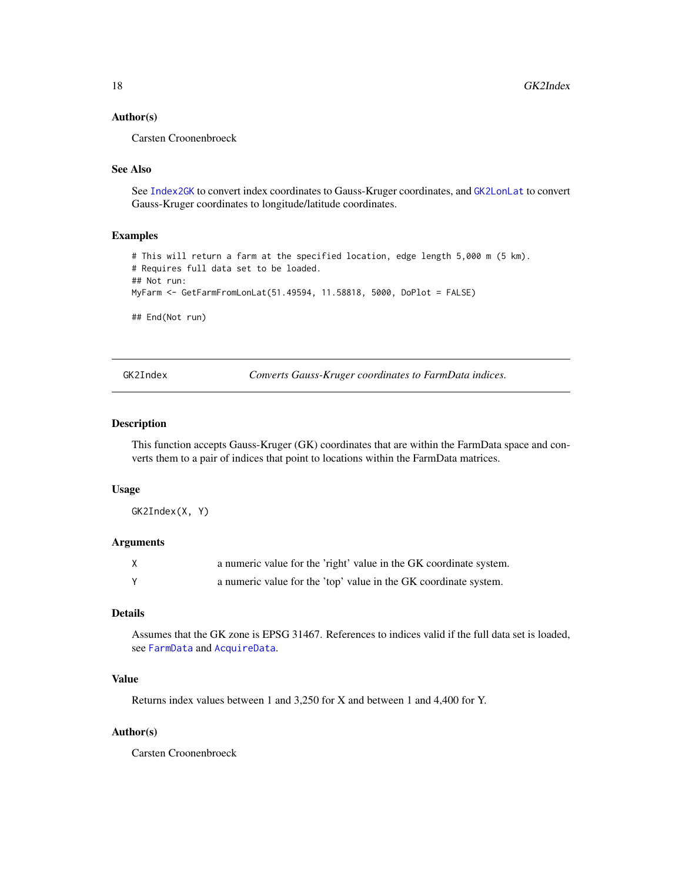#### <span id="page-17-0"></span>Author(s)

Carsten Croonenbroeck

# See Also

See [Index2GK](#page-21-1) to convert index coordinates to Gauss-Kruger coordinates, and [GK2LonLat](#page-18-1) to convert Gauss-Kruger coordinates to longitude/latitude coordinates.

#### Examples

```
# This will return a farm at the specified location, edge length 5,000 m (5 km).
# Requires full data set to be loaded.
## Not run:
MyFarm <- GetFarmFromLonLat(51.49594, 11.58818, 5000, DoPlot = FALSE)
## End(Not run)
```
<span id="page-17-1"></span>GK2Index *Converts Gauss-Kruger coordinates to FarmData indices.*

# Description

This function accepts Gauss-Kruger (GK) coordinates that are within the FarmData space and converts them to a pair of indices that point to locations within the FarmData matrices.

#### Usage

GK2Index(X, Y)

# Arguments

| a numeric value for the 'right' value in the GK coordinate system. |
|--------------------------------------------------------------------|
| a numeric value for the 'top' value in the GK coordinate system.   |

# Details

Assumes that the GK zone is EPSG 31467. References to indices valid if the full data set is loaded, see [FarmData](#page-6-1) and [AcquireData](#page-1-1).

# Value

Returns index values between 1 and 3,250 for X and between 1 and 4,400 for Y.

#### Author(s)

Carsten Croonenbroeck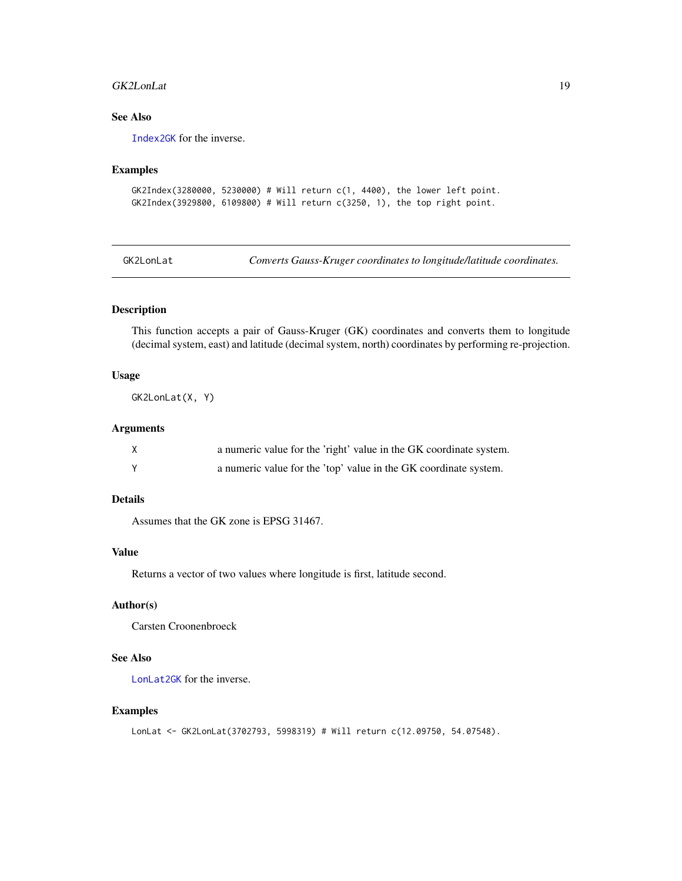#### <span id="page-18-0"></span>GK2LonLat 19

# See Also

[Index2GK](#page-21-1) for the inverse.

## Examples

```
GK2Index(3280000, 5230000) # Will return c(1, 4400), the lower left point.
GK2Index(3929800, 6109800) # Will return c(3250, 1), the top right point.
```
<span id="page-18-1"></span>GK2LonLat *Converts Gauss-Kruger coordinates to longitude/latitude coordinates.*

# Description

This function accepts a pair of Gauss-Kruger (GK) coordinates and converts them to longitude (decimal system, east) and latitude (decimal system, north) coordinates by performing re-projection.

#### Usage

GK2LonLat(X, Y)

# Arguments

| a numeric value for the 'right' value in the GK coordinate system. |
|--------------------------------------------------------------------|
| a numeric value for the 'top' value in the GK coordinate system.   |

# Details

Assumes that the GK zone is EPSG 31467.

#### Value

Returns a vector of two values where longitude is first, latitude second.

# Author(s)

Carsten Croonenbroeck

# See Also

[LonLat2GK](#page-25-1) for the inverse.

# Examples

LonLat <- GK2LonLat(3702793, 5998319) # Will return c(12.09750, 54.07548).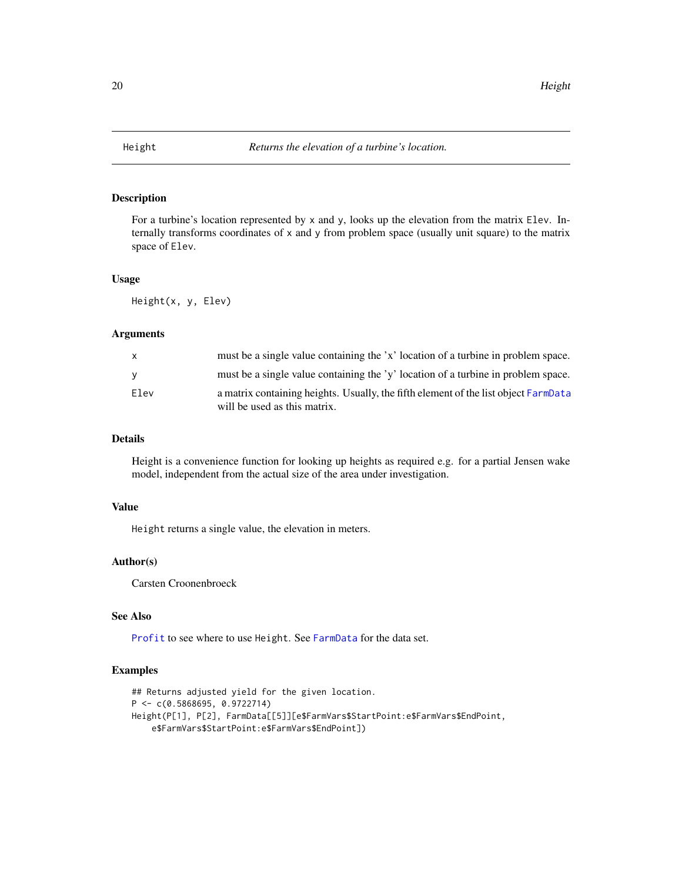<span id="page-19-0"></span>

# Description

For a turbine's location represented by x and y, looks up the elevation from the matrix Elev. Internally transforms coordinates of x and y from problem space (usually unit square) to the matrix space of Elev.

#### Usage

Height(x, y, Elev)

#### Arguments

| X.       | must be a single value containing the 'x' location of a turbine in problem space.                                   |
|----------|---------------------------------------------------------------------------------------------------------------------|
| <b>V</b> | must be a single value containing the 'y' location of a turbine in problem space.                                   |
| Elev     | a matrix containing heights. Usually, the fifth element of the list object FarmData<br>will be used as this matrix. |

# Details

Height is a convenience function for looking up heights as required e.g. for a partial Jensen wake model, independent from the actual size of the area under investigation.

# Value

Height returns a single value, the elevation in meters.

# Author(s)

Carsten Croonenbroeck

# See Also

[Profit](#page-33-1) to see where to use Height. See [FarmData](#page-6-1) for the data set.

#### Examples

```
## Returns adjusted yield for the given location.
P <- c(0.5868695, 0.9722714)
Height(P[1], P[2], FarmData[[5]][e$FarmVars$StartPoint:e$FarmVars$EndPoint,
   e$FarmVars$StartPoint:e$FarmVars$EndPoint])
```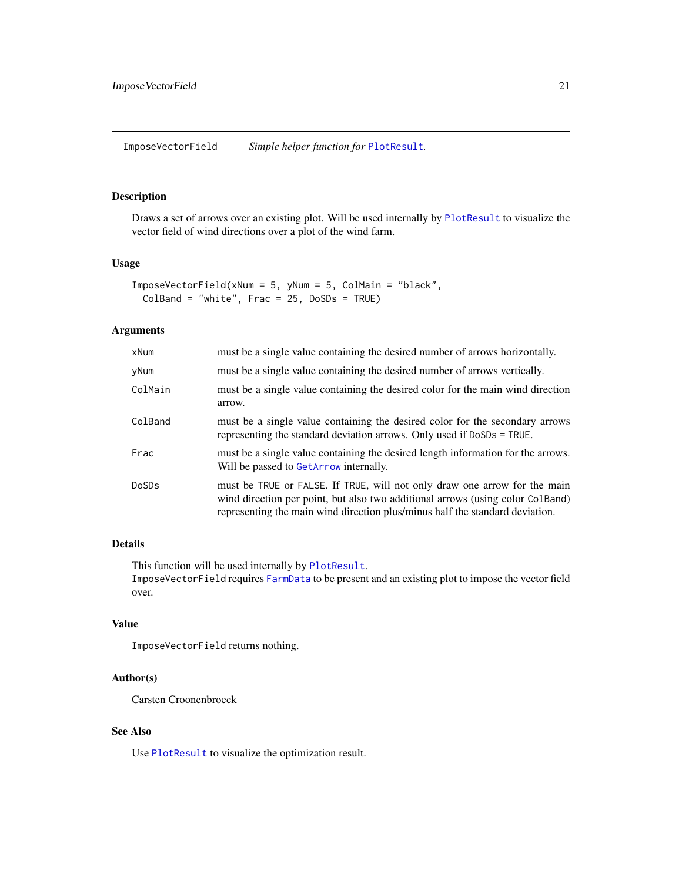<span id="page-20-1"></span><span id="page-20-0"></span>ImposeVectorField *Simple helper function for* [PlotResult](#page-30-1)*.*

# Description

Draws a set of arrows over an existing plot. Will be used internally by [PlotResult](#page-30-1) to visualize the vector field of wind directions over a plot of the wind farm.

# Usage

```
ImposeVectorField(xNum = 5, yNum = 5, ColMain = "black",
 ColBand = "white", Frac = 25, DoSDs = TRUE)
```
# Arguments

| xNum    | must be a single value containing the desired number of arrows horizontally.                                                                                                                                                                |
|---------|---------------------------------------------------------------------------------------------------------------------------------------------------------------------------------------------------------------------------------------------|
| yNum    | must be a single value containing the desired number of arrows vertically.                                                                                                                                                                  |
| ColMain | must be a single value containing the desired color for the main wind direction<br>arrow.                                                                                                                                                   |
| ColBand | must be a single value containing the desired color for the secondary arrows<br>representing the standard deviation arrows. Only used if DoSDs = TRUE.                                                                                      |
| Frac    | must be a single value containing the desired length information for the arrows.<br>Will be passed to GetArrow internally.                                                                                                                  |
| DoSDs   | must be TRUE or FALSE. If TRUE, will not only draw one arrow for the main<br>wind direction per point, but also two additional arrows (using color ColBand)<br>representing the main wind direction plus/minus half the standard deviation. |

# Details

This function will be used internally by [PlotResult](#page-30-1).

ImposeVectorField requires [FarmData](#page-6-1) to be present and an existing plot to impose the vector field over.

# Value

ImposeVectorField returns nothing.

# Author(s)

Carsten Croonenbroeck

#### See Also

Use [PlotResult](#page-30-1) to visualize the optimization result.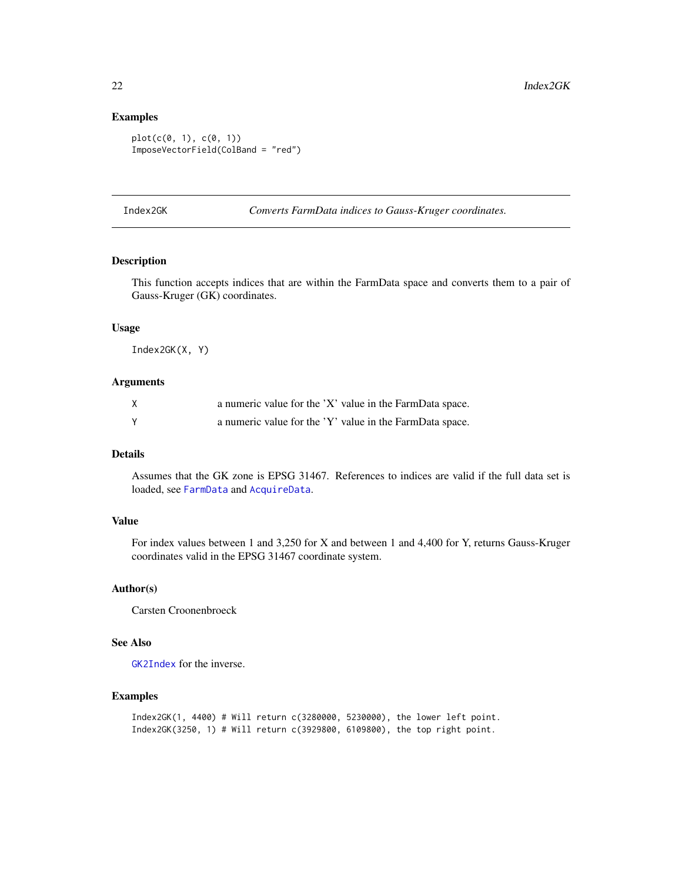# Examples

```
plot(c(0, 1), c(0, 1))
ImposeVectorField(ColBand = "red")
```
<span id="page-21-1"></span>Index2GK *Converts FarmData indices to Gauss-Kruger coordinates.*

## Description

This function accepts indices that are within the FarmData space and converts them to a pair of Gauss-Kruger (GK) coordinates.

#### Usage

Index2GK(X, Y)

#### Arguments

| a numeric value for the 'X' value in the FarmData space. |
|----------------------------------------------------------|
| a numeric value for the 'Y' value in the FarmData space. |

# Details

Assumes that the GK zone is EPSG 31467. References to indices are valid if the full data set is loaded, see [FarmData](#page-6-1) and [AcquireData](#page-1-1).

# Value

For index values between 1 and 3,250 for X and between 1 and 4,400 for Y, returns Gauss-Kruger coordinates valid in the EPSG 31467 coordinate system.

# Author(s)

Carsten Croonenbroeck

# See Also

[GK2Index](#page-17-1) for the inverse.

# Examples

```
Index2GK(1, 4400) # Will return c(3280000, 5230000), the lower left point.
Index2GK(3250, 1) # Will return c(3929800, 6109800), the top right point.
```
<span id="page-21-0"></span>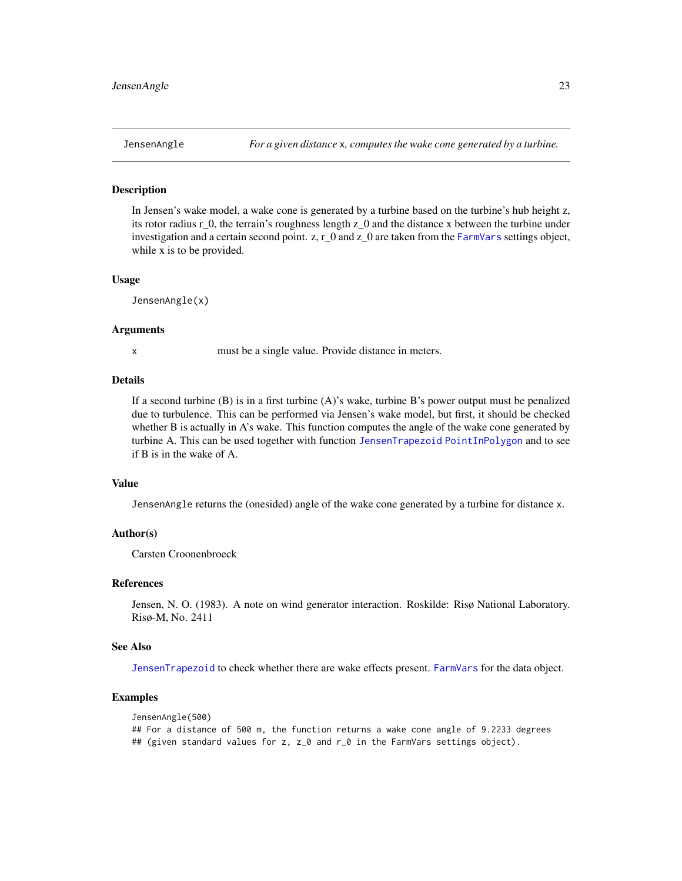<span id="page-22-1"></span><span id="page-22-0"></span>

### Description

In Jensen's wake model, a wake cone is generated by a turbine based on the turbine's hub height z, its rotor radius r\_0, the terrain's roughness length z\_0 and the distance x between the turbine under investigation and a certain second point. z, r\_0 and z\_0 are taken from the [FarmVars](#page-7-1) settings object, while x is to be provided.

#### Usage

JensenAngle(x)

#### Arguments

x must be a single value. Provide distance in meters.

# Details

If a second turbine (B) is in a first turbine (A)'s wake, turbine B's power output must be penalized due to turbulence. This can be performed via Jensen's wake model, but first, it should be checked whether B is actually in A's wake. This function computes the angle of the wake cone generated by turbine A. This can be used together with function [JensenTrapezoid](#page-24-1) [PointInPolygon](#page-32-1) and to see if B is in the wake of A.

#### Value

JensenAngle returns the (onesided) angle of the wake cone generated by a turbine for distance x.

#### Author(s)

Carsten Croonenbroeck

#### References

Jensen, N. O. (1983). A note on wind generator interaction. Roskilde: Risø National Laboratory. Risø-M, No. 2411

#### See Also

[JensenTrapezoid](#page-24-1) to check whether there are wake effects present. [FarmVars](#page-7-1) for the data object.

# Examples

```
JensenAngle(500)
## For a distance of 500 m, the function returns a wake cone angle of 9.2233 degrees
## (given standard values for z, z_0 and r_0 in the FarmVars settings object).
```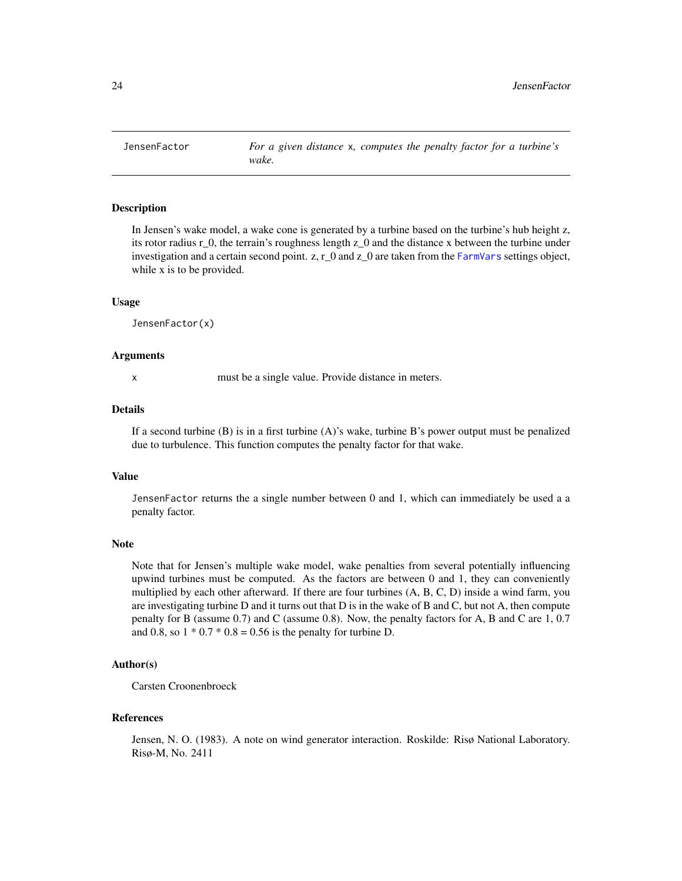<span id="page-23-1"></span><span id="page-23-0"></span>

#### Description

In Jensen's wake model, a wake cone is generated by a turbine based on the turbine's hub height z, its rotor radius r\_0, the terrain's roughness length z\_0 and the distance x between the turbine under investigation and a certain second point. z, r\_0 and z\_0 are taken from the [FarmVars](#page-7-1) settings object, while x is to be provided.

#### Usage

JensenFactor(x)

#### Arguments

x must be a single value. Provide distance in meters.

# Details

If a second turbine (B) is in a first turbine (A)'s wake, turbine B's power output must be penalized due to turbulence. This function computes the penalty factor for that wake.

# Value

JensenFactor returns the a single number between 0 and 1, which can immediately be used a a penalty factor.

#### Note

Note that for Jensen's multiple wake model, wake penalties from several potentially influencing upwind turbines must be computed. As the factors are between 0 and 1, they can conveniently multiplied by each other afterward. If there are four turbines (A, B, C, D) inside a wind farm, you are investigating turbine D and it turns out that D is in the wake of B and C, but not A, then compute penalty for B (assume 0.7) and C (assume 0.8). Now, the penalty factors for A, B and C are 1, 0.7 and 0.8, so  $1 * 0.7 * 0.8 = 0.56$  is the penalty for turbine D.

# Author(s)

Carsten Croonenbroeck

#### References

Jensen, N. O. (1983). A note on wind generator interaction. Roskilde: Risø National Laboratory. Risø-M, No. 2411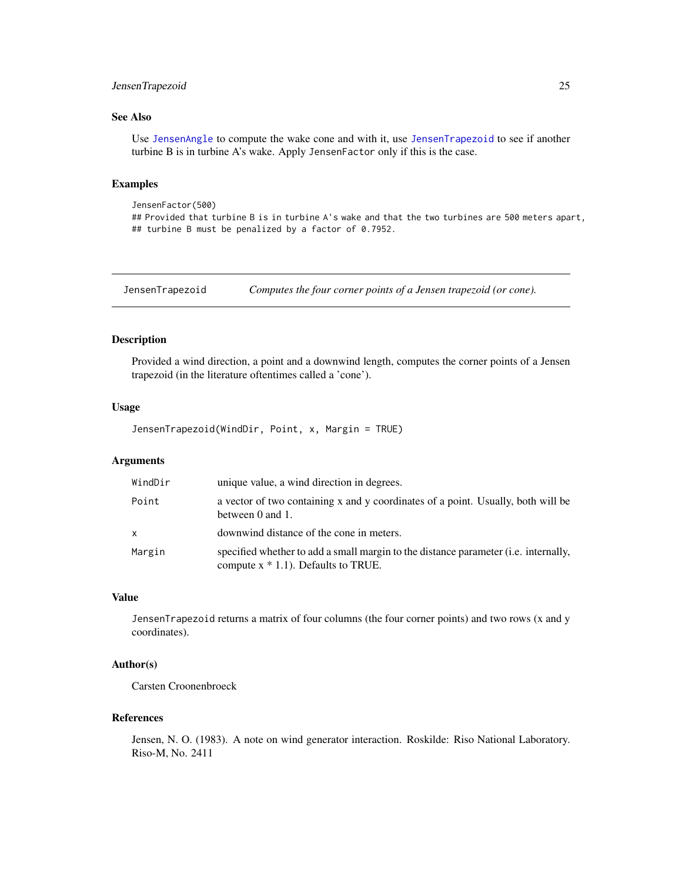# <span id="page-24-0"></span>JensenTrapezoid 25

# See Also

Use [JensenAngle](#page-22-1) to compute the wake cone and with it, use [JensenTrapezoid](#page-24-1) to see if another turbine B is in turbine A's wake. Apply JensenFactor only if this is the case.

# Examples

```
JensenFactor(500)
## Provided that turbine B is in turbine A's wake and that the two turbines are 500 meters apart,
## turbine B must be penalized by a factor of 0.7952.
```
<span id="page-24-1"></span>JensenTrapezoid *Computes the four corner points of a Jensen trapezoid (or cone).*

# Description

Provided a wind direction, a point and a downwind length, computes the corner points of a Jensen trapezoid (in the literature oftentimes called a 'cone').

#### Usage

JensenTrapezoid(WindDir, Point, x, Margin = TRUE)

#### Arguments

| WindDir | unique value, a wind direction in degrees.                                                                                    |
|---------|-------------------------------------------------------------------------------------------------------------------------------|
| Point   | a vector of two containing x and y coordinates of a point. Usually, both will be<br>between 0 and 1.                          |
| X       | downwind distance of the cone in meters.                                                                                      |
| Margin  | specified whether to add a small margin to the distance parameter (i.e. internally,<br>compute $x * 1.1$ ). Defaults to TRUE. |

# Value

JensenTrapezoid returns a matrix of four columns (the four corner points) and two rows (x and y coordinates).

# Author(s)

Carsten Croonenbroeck

# References

Jensen, N. O. (1983). A note on wind generator interaction. Roskilde: Riso National Laboratory. Riso-M, No. 2411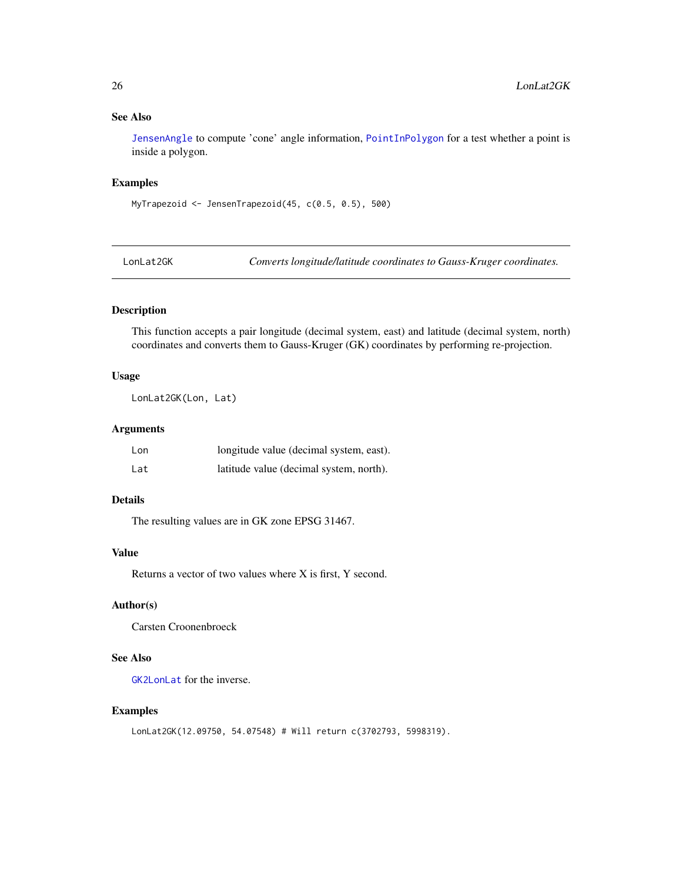# <span id="page-25-0"></span>See Also

[JensenAngle](#page-22-1) to compute 'cone' angle information, [PointInPolygon](#page-32-1) for a test whether a point is inside a polygon.

# Examples

MyTrapezoid <- JensenTrapezoid(45, c(0.5, 0.5), 500)

<span id="page-25-1"></span>LonLat2GK *Converts longitude/latitude coordinates to Gauss-Kruger coordinates.*

# Description

This function accepts a pair longitude (decimal system, east) and latitude (decimal system, north) coordinates and converts them to Gauss-Kruger (GK) coordinates by performing re-projection.

#### Usage

LonLat2GK(Lon, Lat)

# Arguments

| Lon | longitude value (decimal system, east). |
|-----|-----------------------------------------|
| Lat | latitude value (decimal system, north). |

# Details

The resulting values are in GK zone EPSG 31467.

# Value

Returns a vector of two values where X is first, Y second.

# Author(s)

Carsten Croonenbroeck

# See Also

[GK2LonLat](#page-18-1) for the inverse.

# Examples

```
LonLat2GK(12.09750, 54.07548) # Will return c(3702793, 5998319).
```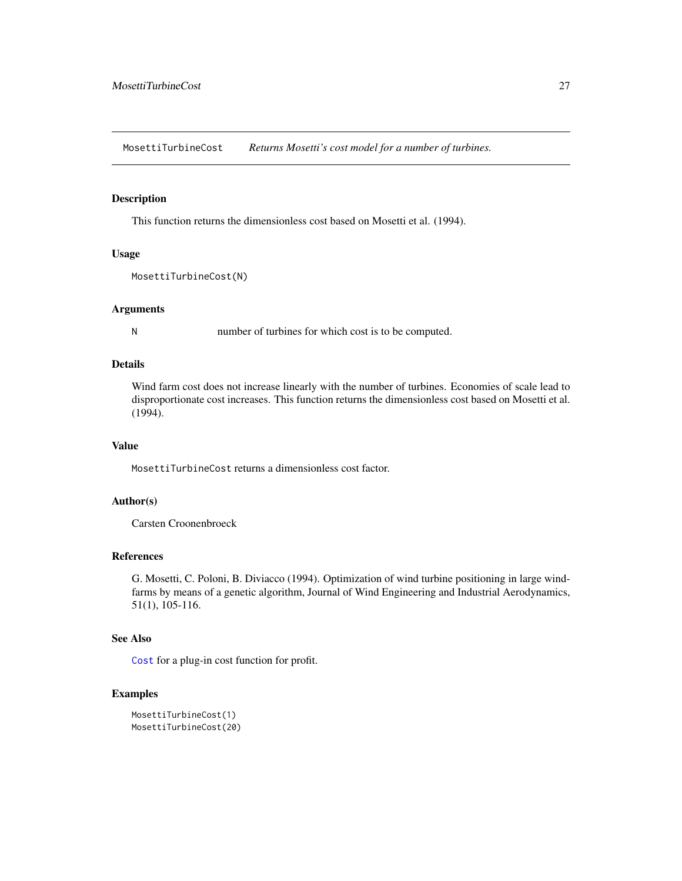<span id="page-26-0"></span>MosettiTurbineCost *Returns Mosetti's cost model for a number of turbines.*

#### Description

This function returns the dimensionless cost based on Mosetti et al. (1994).

# Usage

```
MosettiTurbineCost(N)
```
#### Arguments

N number of turbines for which cost is to be computed.

#### Details

Wind farm cost does not increase linearly with the number of turbines. Economies of scale lead to disproportionate cost increases. This function returns the dimensionless cost based on Mosetti et al. (1994).

# Value

MosettiTurbineCost returns a dimensionless cost factor.

# Author(s)

Carsten Croonenbroeck

# References

G. Mosetti, C. Poloni, B. Diviacco (1994). Optimization of wind turbine positioning in large windfarms by means of a genetic algorithm, Journal of Wind Engineering and Industrial Aerodynamics, 51(1), 105-116.

# See Also

[Cost](#page-4-1) for a plug-in cost function for profit.

# Examples

```
MosettiTurbineCost(1)
MosettiTurbineCost(20)
```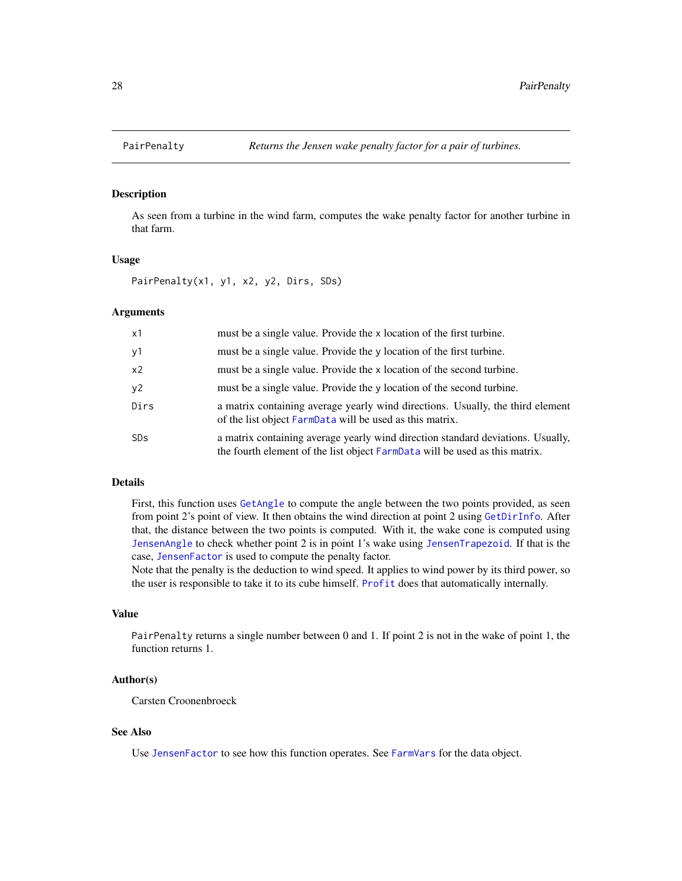<span id="page-27-1"></span><span id="page-27-0"></span>

#### Description

As seen from a turbine in the wind farm, computes the wake penalty factor for another turbine in that farm.

#### Usage

PairPenalty(x1, y1, x2, y2, Dirs, SDs)

# Arguments

| x1             | must be a single value. Provide the x location of the first turbine.                                                                                           |
|----------------|----------------------------------------------------------------------------------------------------------------------------------------------------------------|
| y1             | must be a single value. Provide the y location of the first turbine.                                                                                           |
| x <sub>2</sub> | must be a single value. Provide the x location of the second turbine.                                                                                          |
| y2             | must be a single value. Provide the y location of the second turbine.                                                                                          |
| Dirs           | a matrix containing average yearly wind directions. Usually, the third element<br>of the list object FarmData will be used as this matrix.                     |
| <b>SDs</b>     | a matrix containing average yearly wind direction standard deviations. Usually,<br>the fourth element of the list object FarmData will be used as this matrix. |

#### Details

First, this function uses [GetAngle](#page-13-1) to compute the angle between the two points provided, as seen from point 2's point of view. It then obtains the wind direction at point 2 using [GetDirInfo](#page-15-1). After that, the distance between the two points is computed. With it, the wake cone is computed using [JensenAngle](#page-22-1) to check whether point 2 is in point 1's wake using [JensenTrapezoid](#page-24-1). If that is the case, [JensenFactor](#page-23-1) is used to compute the penalty factor.

Note that the penalty is the deduction to wind speed. It applies to wind power by its third power, so the user is responsible to take it to its cube himself. [Profit](#page-33-1) does that automatically internally.

#### Value

PairPenalty returns a single number between 0 and 1. If point 2 is not in the wake of point 1, the function returns 1.

# Author(s)

Carsten Croonenbroeck

#### See Also

Use [JensenFactor](#page-23-1) to see how this function operates. See [FarmVars](#page-7-1) for the data object.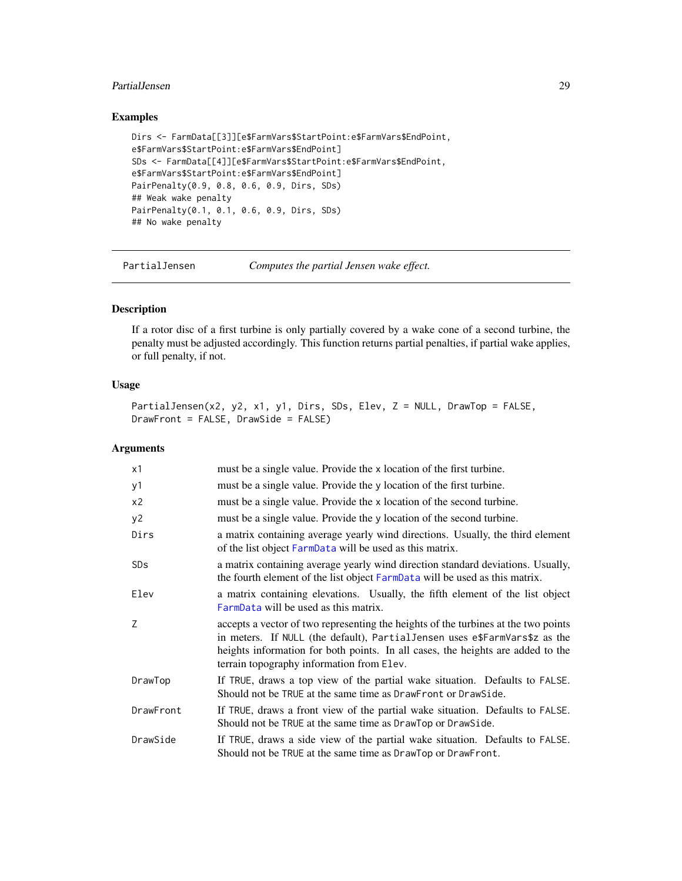#### <span id="page-28-0"></span>PartialJensen 29

# Examples

```
Dirs <- FarmData[[3]][e$FarmVars$StartPoint:e$FarmVars$EndPoint,
e$FarmVars$StartPoint:e$FarmVars$EndPoint]
SDs <- FarmData[[4]][e$FarmVars$StartPoint:e$FarmVars$EndPoint,
e$FarmVars$StartPoint:e$FarmVars$EndPoint]
PairPenalty(0.9, 0.8, 0.6, 0.9, Dirs, SDs)
## Weak wake penalty
PairPenalty(0.1, 0.1, 0.6, 0.9, Dirs, SDs)
## No wake penalty
```
PartialJensen *Computes the partial Jensen wake effect.*

# Description

If a rotor disc of a first turbine is only partially covered by a wake cone of a second turbine, the penalty must be adjusted accordingly. This function returns partial penalties, if partial wake applies, or full penalty, if not.

# Usage

```
PartialJensen(x2, y2, x1, y1, Dirs, SDs, Elev, Z = NULL, DrawTop = FALSE,
DrawFront = FALSE, DrawSide = FALSE)
```
#### Arguments

| x1             | must be a single value. Provide the x location of the first turbine.                                                                                                                                                                                                                              |
|----------------|---------------------------------------------------------------------------------------------------------------------------------------------------------------------------------------------------------------------------------------------------------------------------------------------------|
| y1             | must be a single value. Provide the y location of the first turbine.                                                                                                                                                                                                                              |
| x <sub>2</sub> | must be a single value. Provide the x location of the second turbine.                                                                                                                                                                                                                             |
| y2             | must be a single value. Provide the y location of the second turbine.                                                                                                                                                                                                                             |
| Dirs           | a matrix containing average yearly wind directions. Usually, the third element<br>of the list object FarmData will be used as this matrix.                                                                                                                                                        |
| <b>SDs</b>     | a matrix containing average yearly wind direction standard deviations. Usually,<br>the fourth element of the list object FarmData will be used as this matrix.                                                                                                                                    |
| Elev           | a matrix containing elevations. Usually, the fifth element of the list object<br>FarmData will be used as this matrix.                                                                                                                                                                            |
| Z              | accepts a vector of two representing the heights of the turbines at the two points<br>in meters. If NULL (the default), Partial Jensen uses e\$FarmVars\$z as the<br>heights information for both points. In all cases, the heights are added to the<br>terrain topography information from Elev. |
| DrawTop        | If TRUE, draws a top view of the partial wake situation. Defaults to FALSE.<br>Should not be TRUE at the same time as DrawFront or DrawSide.                                                                                                                                                      |
| DrawFront      | If TRUE, draws a front view of the partial wake situation. Defaults to FALSE.<br>Should not be TRUE at the same time as DrawTop or DrawSide.                                                                                                                                                      |
| DrawSide       | If TRUE, draws a side view of the partial wake situation. Defaults to FALSE.<br>Should not be TRUE at the same time as DrawTop or DrawFront.                                                                                                                                                      |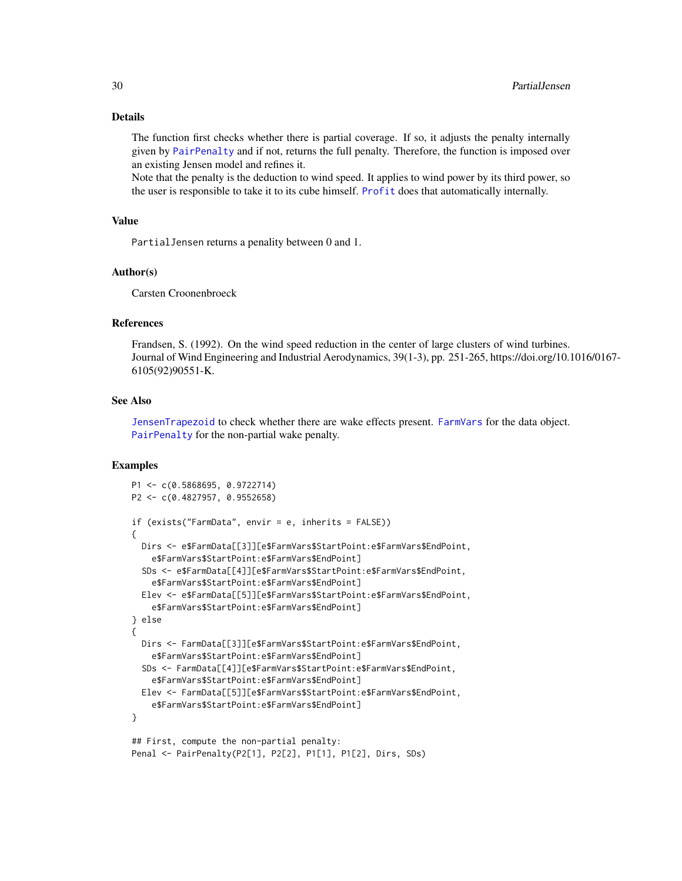#### <span id="page-29-0"></span>Details

The function first checks whether there is partial coverage. If so, it adjusts the penalty internally given by [PairPenalty](#page-27-1) and if not, returns the full penalty. Therefore, the function is imposed over an existing Jensen model and refines it.

Note that the penalty is the deduction to wind speed. It applies to wind power by its third power, so the user is responsible to take it to its cube himself. [Profit](#page-33-1) does that automatically internally.

# Value

PartialJensen returns a penality between 0 and 1.

#### Author(s)

Carsten Croonenbroeck

# References

Frandsen, S. (1992). On the wind speed reduction in the center of large clusters of wind turbines. Journal of Wind Engineering and Industrial Aerodynamics, 39(1-3), pp. 251-265, https://doi.org/10.1016/0167- 6105(92)90551-K.

#### See Also

[JensenTrapezoid](#page-24-1) to check whether there are wake effects present. [FarmVars](#page-7-1) for the data object. [PairPenalty](#page-27-1) for the non-partial wake penalty.

# Examples

```
P1 <- c(0.5868695, 0.9722714)
P2 <- c(0.4827957, 0.9552658)
if (exists("FarmData", envir = e, inherits = FALSE))
{
  Dirs <- e$FarmData[[3]][e$FarmVars$StartPoint:e$FarmVars$EndPoint,
    e$FarmVars$StartPoint:e$FarmVars$EndPoint]
  SDs <- e$FarmData[[4]][e$FarmVars$StartPoint:e$FarmVars$EndPoint,
    e$FarmVars$StartPoint:e$FarmVars$EndPoint]
  Elev <- e$FarmData[[5]][e$FarmVars$StartPoint:e$FarmVars$EndPoint,
    e$FarmVars$StartPoint:e$FarmVars$EndPoint]
} else
{
  Dirs <- FarmData[[3]][e$FarmVars$StartPoint:e$FarmVars$EndPoint,
   e$FarmVars$StartPoint:e$FarmVars$EndPoint]
  SDs <- FarmData[[4]][e$FarmVars$StartPoint:e$FarmVars$EndPoint,
    e$FarmVars$StartPoint:e$FarmVars$EndPoint]
  Elev <- FarmData[[5]][e$FarmVars$StartPoint:e$FarmVars$EndPoint,
    e$FarmVars$StartPoint:e$FarmVars$EndPoint]
}
## First, compute the non-partial penalty:
Penal <- PairPenalty(P2[1], P2[2], P1[1], P1[2], Dirs, SDs)
```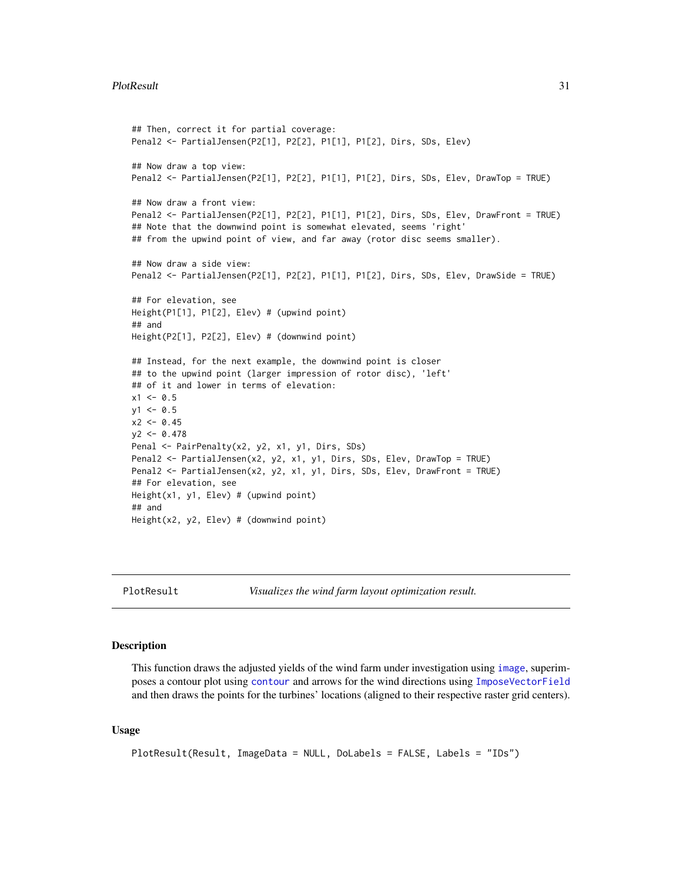```
## Then, correct it for partial coverage:
Penal2 <- PartialJensen(P2[1], P2[2], P1[1], P1[2], Dirs, SDs, Elev)
## Now draw a top view:
Penal2 <- PartialJensen(P2[1], P2[2], P1[1], P1[2], Dirs, SDs, Elev, DrawTop = TRUE)
## Now draw a front view:
Penal2 <- PartialJensen(P2[1], P2[2], P1[1], P1[2], Dirs, SDs, Elev, DrawFront = TRUE)
## Note that the downwind point is somewhat elevated, seems 'right'
## from the upwind point of view, and far away (rotor disc seems smaller).
## Now draw a side view:
Penal2 <- PartialJensen(P2[1], P2[2], P1[1], P1[2], Dirs, SDs, Elev, DrawSide = TRUE)
## For elevation, see
Height(P1[1], P1[2], Elev) # (upwind point)
## and
Height(P2[1], P2[2], Elev) # (downwind point)
## Instead, for the next example, the downwind point is closer
## to the upwind point (larger impression of rotor disc), 'left'
## of it and lower in terms of elevation:
x1 < -0.5y1 < -0.5x2 < -0.45y2 < -0.478Penal <- PairPenalty(x2, y2, x1, y1, Dirs, SDs)
Penal2 <- PartialJensen(x2, y2, x1, y1, Dirs, SDs, Elev, DrawTop = TRUE)
Penal2 <- PartialJensen(x2, y2, x1, y1, Dirs, SDs, Elev, DrawFront = TRUE)
## For elevation, see
Height(x1, y1, Elev) # (upwind point)
## and
Height(x2, y2, Elev) # (downwind point)
```
<span id="page-30-1"></span>

PlotResult *Visualizes the wind farm layout optimization result.*

# Description

This function draws the adjusted yields of the wind farm under investigation using [image](#page-0-0), superimposes a contour plot using [contour](#page-0-0) and arrows for the wind directions using [ImposeVectorField](#page-20-1) and then draws the points for the turbines' locations (aligned to their respective raster grid centers).

#### Usage

```
PlotResult(Result, ImageData = NULL, DoLabels = FALSE, Labels = "IDs")
```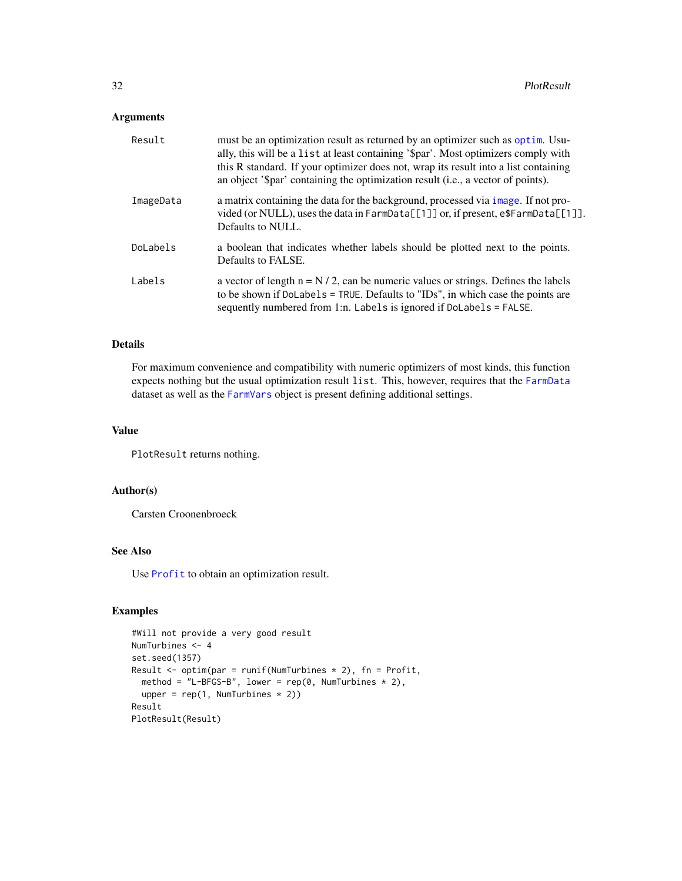# <span id="page-31-0"></span>Arguments

| Result    | must be an optimization result as returned by an optimizer such as optim. Usu-<br>ally, this will be a list at least containing '\$par'. Most optimizers comply with<br>this R standard. If your optimizer does not, wrap its result into a list containing<br>an object '\$par' containing the optimization result (i.e., a vector of points). |
|-----------|-------------------------------------------------------------------------------------------------------------------------------------------------------------------------------------------------------------------------------------------------------------------------------------------------------------------------------------------------|
| ImageData | a matrix containing the data for the background, processed via image. If not pro-<br>vided (or NULL), uses the data in $\text{FarmData}[\lceil 1 \rceil]$ or, if present, $\text{e\$FarmData}[\lceil 1 \rceil]$ .<br>Defaults to NULL.                                                                                                          |
| DoLabels  | a boolean that indicates whether labels should be plotted next to the points.<br>Defaults to FALSE.                                                                                                                                                                                                                                             |
| Labels    | a vector of length $n = N/2$ , can be numeric values or strings. Defines the labels<br>to be shown if DoLabels = TRUE. Defaults to "IDs", in which case the points are<br>sequently numbered from 1:n. Labels is ignored if DoLabels = FALSE.                                                                                                   |

# Details

For maximum convenience and compatibility with numeric optimizers of most kinds, this function expects nothing but the usual optimization result list. This, however, requires that the [FarmData](#page-6-1) dataset as well as the [FarmVars](#page-7-1) object is present defining additional settings.

#### Value

PlotResult returns nothing.

# Author(s)

Carsten Croonenbroeck

# See Also

Use [Profit](#page-33-1) to obtain an optimization result.

## Examples

```
#Will not provide a very good result
NumTurbines <- 4
set.seed(1357)
Result \leq optim(par = runif(NumTurbines * 2), fn = Profit,
 method = "L-BFGS-B", lower = rep(0, NumTurbines * 2),
  upper = rep(1, NumTurbines * 2))Result
PlotResult(Result)
```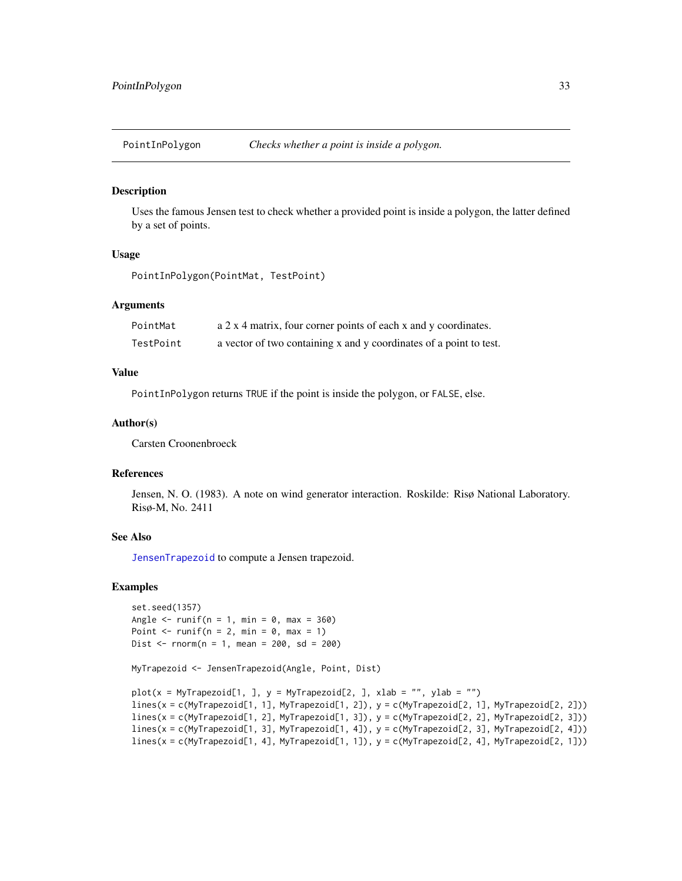<span id="page-32-1"></span><span id="page-32-0"></span>PointInPolygon *Checks whether a point is inside a polygon.*

#### Description

Uses the famous Jensen test to check whether a provided point is inside a polygon, the latter defined by a set of points.

### Usage

PointInPolygon(PointMat, TestPoint)

# Arguments

| PointMat  | a 2 x 4 matrix, four corner points of each x and y coordinates.    |
|-----------|--------------------------------------------------------------------|
| TestPoint | a vector of two containing x and y coordinates of a point to test. |

## Value

PointInPolygon returns TRUE if the point is inside the polygon, or FALSE, else.

#### Author(s)

Carsten Croonenbroeck

# References

Jensen, N. O. (1983). A note on wind generator interaction. Roskilde: Risø National Laboratory. Risø-M, No. 2411

# See Also

[JensenTrapezoid](#page-24-1) to compute a Jensen trapezoid.

# Examples

```
set.seed(1357)
Angle \le runif(n = 1, min = 0, max = 360)
Point \le- runif(n = 2, min = 0, max = 1)
Dist \le rnorm(n = 1, mean = 200, sd = 200)
```
MyTrapezoid <- JensenTrapezoid(Angle, Point, Dist)

```
plot(x = MyTrapezoid[1, ], y = MyTrapezoid[2, ], xlab = "", ylab = "")
lines(x = c(MyTrapezoid[1, 1], MyTrapezoid[1, 2]), y = c(MyTrapezoid[2, 1], MyTrapezoid[2, 2]))
lines(x = c(MyTrapezoid[1, 2], MyTrapezoid[1, 3]), y = c(MyTrapezoid[2, 2], MyTrapezoid[2, 3]))
lines(x = c(MyTrapezoid[1, 3], MyTrapezoid[1, 4]), y = c(MyTrapezoid[2, 3], MyTrapezoid[2, 4]))
lines(x = c(MyTrapezoid[1, 4], MyTrapezoid[1, 1]), y = c(MyTrapezoid[2, 4], MyTrapezoid[2, 1]))
```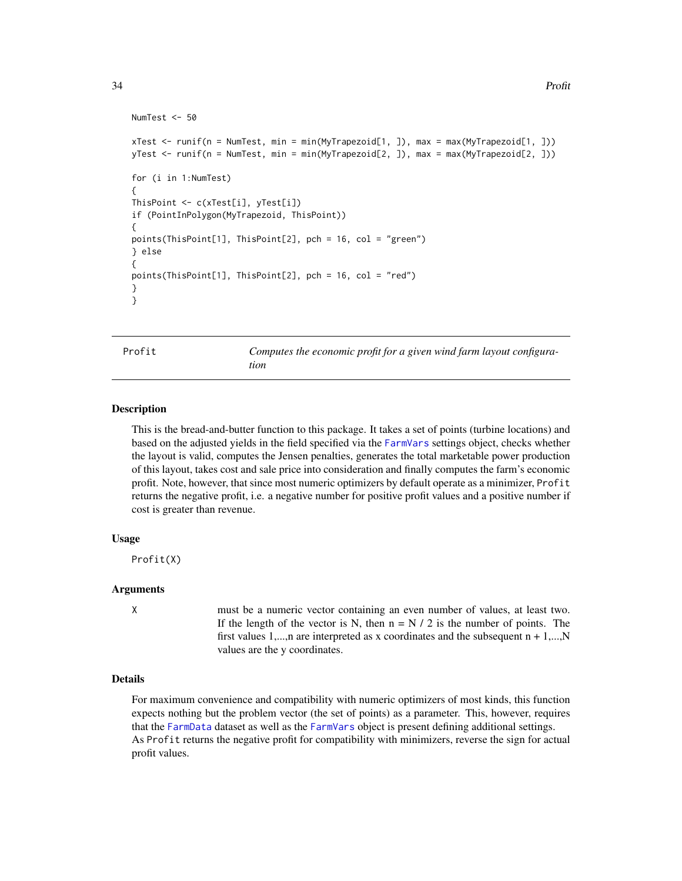```
NumTest <- 50
xTest <- runif(n = NumTest, min = min(MyTrapezoid[1, ]), max = max(MyTrapezoid[1, ]))
yTest <- runif(n = NumTest, min = min(MyTrapezoid[2, ]), max = max(MyTrapezoid[2, ]))
for (i in 1:NumTest)
{
ThisPoint <- c(xTest[i], yTest[i])
if (PointInPolygon(MyTrapezoid, ThisPoint))
{
points(ThisPoint[1], ThisPoint[2], pch = 16, col = "green")
} else
{
points(ThisPoint[1], ThisPoint[2], pch = 16, col = "red")
}
}
```
Profit *Computes the economic profit for a given wind farm layout configuration*

#### Description

This is the bread-and-butter function to this package. It takes a set of points (turbine locations) and based on the adjusted yields in the field specified via the [FarmVars](#page-7-1) settings object, checks whether the layout is valid, computes the Jensen penalties, generates the total marketable power production of this layout, takes cost and sale price into consideration and finally computes the farm's economic profit. Note, however, that since most numeric optimizers by default operate as a minimizer, Profit returns the negative profit, i.e. a negative number for positive profit values and a positive number if cost is greater than revenue.

#### Usage

Profit(X)

#### Arguments

X must be a numeric vector containing an even number of values, at least two. If the length of the vector is N, then  $n = N / 2$  is the number of points. The first values 1,...,n are interpreted as x coordinates and the subsequent  $n + 1$ ,...,N values are the y coordinates.

# Details

For maximum convenience and compatibility with numeric optimizers of most kinds, this function expects nothing but the problem vector (the set of points) as a parameter. This, however, requires that the [FarmData](#page-6-1) dataset as well as the [FarmVars](#page-7-1) object is present defining additional settings. As Profit returns the negative profit for compatibility with minimizers, reverse the sign for actual profit values.

<span id="page-33-0"></span>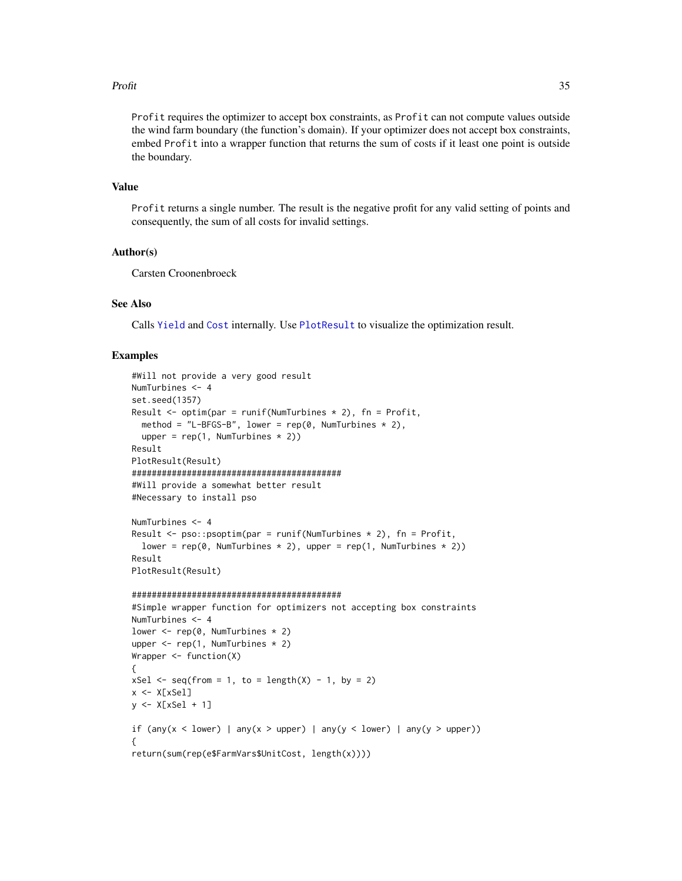#### <span id="page-34-0"></span>Profit 35

Profit requires the optimizer to accept box constraints, as Profit can not compute values outside the wind farm boundary (the function's domain). If your optimizer does not accept box constraints, embed Profit into a wrapper function that returns the sum of costs if it least one point is outside the boundary.

#### Value

Profit returns a single number. The result is the negative profit for any valid setting of points and consequently, the sum of all costs for invalid settings.

#### Author(s)

Carsten Croonenbroeck

# See Also

Calls [Yield](#page-47-1) and [Cost](#page-4-1) internally. Use [PlotResult](#page-30-1) to visualize the optimization result.

# Examples

```
#Will not provide a very good result
NumTurbines <- 4
set.seed(1357)
Result \leq optim(par = runif(NumTurbines * 2), fn = Profit,
 method = "L-BFGS-B", lower = rep(0, NumTurbines * 2),
  upper = rep(1, NumTurbines * 2)Result
PlotResult(Result)
##########################################
#Will provide a somewhat better result
#Necessary to install pso
NumTurbines <- 4
Result \leq pso:: psoptim(par = runif(NumTurbines * 2), fn = Profit,
  lower = rep(0, NumTurbines * 2), upper = rep(1, NumTurbines * 2)Result
PlotResult(Result)
##########################################
#Simple wrapper function for optimizers not accepting box constraints
NumTurbines <- 4
lower \leq rep(0, NumTurbines \neq 2)
upper <- rep(1, NumTurbines * 2)
Wrapper <- function(X)
{
xSel \leq seq(from = 1, to = length(X) - 1, by = 2)x <- X[xSel]
y <- X[xSel + 1]
if (any(x < lower) | any(x > upper) | any(y < lower) | any(y > upper))
{
return(sum(rep(e$FarmVars$UnitCost, length(x))))
```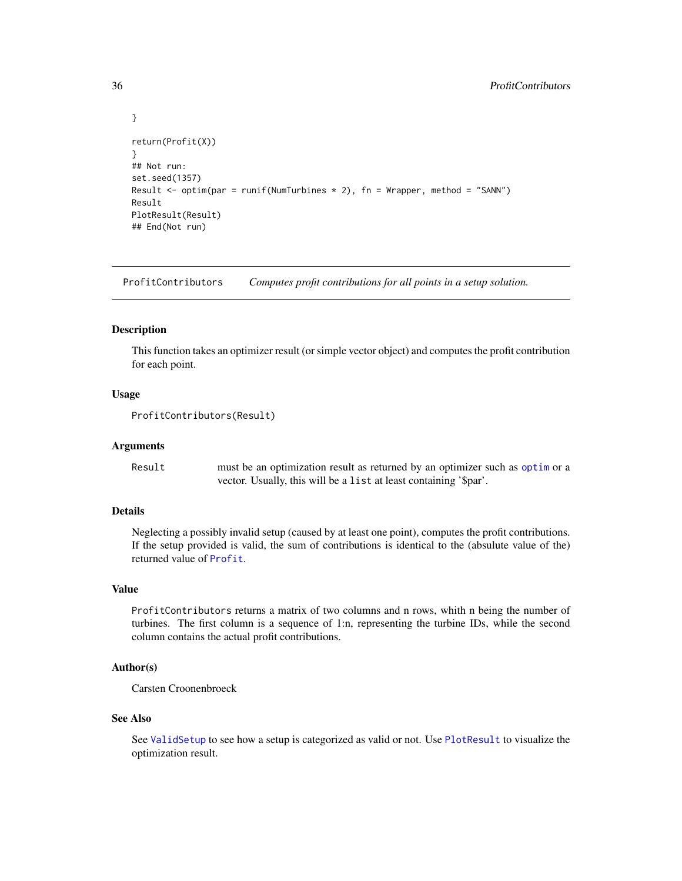```
}
return(Profit(X))
}
## Not run:
set.seed(1357)
Result \le optim(par = runif(NumTurbines * 2), fn = Wrapper, method = "SANN")
Result
PlotResult(Result)
## End(Not run)
```
ProfitContributors *Computes profit contributions for all points in a setup solution.*

# Description

This function takes an optimizer result (or simple vector object) and computes the profit contribution for each point.

#### Usage

```
ProfitContributors(Result)
```
# Arguments

Result must be an optimization result as returned by an optimizer such as [optim](#page-0-0) or a vector. Usually, this will be a list at least containing '\$par'.

# Details

Neglecting a possibly invalid setup (caused by at least one point), computes the profit contributions. If the setup provided is valid, the sum of contributions is identical to the (absulute value of the) returned value of [Profit](#page-33-1).

# Value

ProfitContributors returns a matrix of two columns and n rows, whith n being the number of turbines. The first column is a sequence of 1:n, representing the turbine IDs, while the second column contains the actual profit contributions.

# Author(s)

Carsten Croonenbroeck

#### See Also

See [ValidSetup](#page-44-1) to see how a setup is categorized as valid or not. Use [PlotResult](#page-30-1) to visualize the optimization result.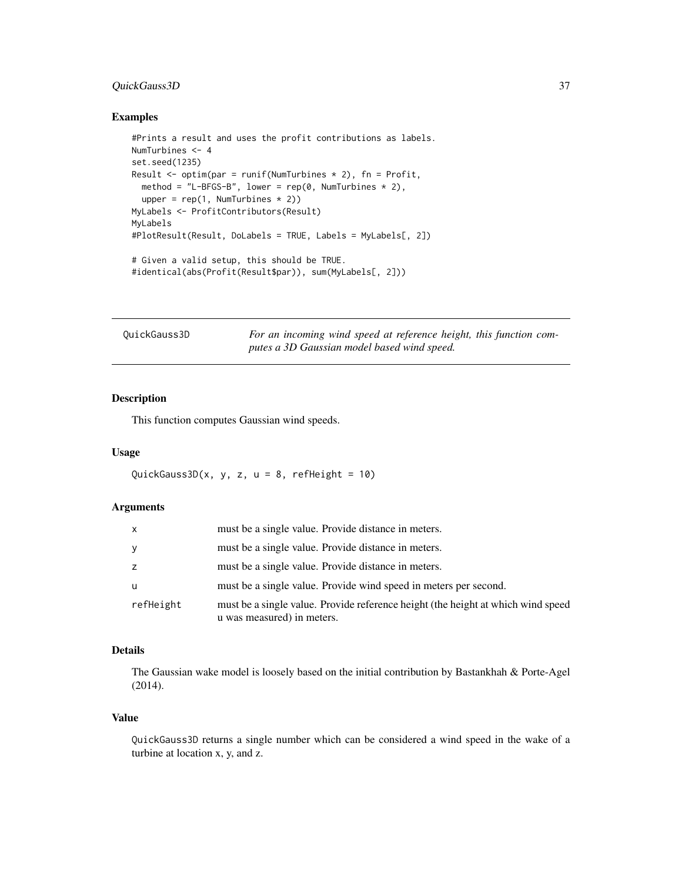# <span id="page-36-0"></span>QuickGauss3D 37

#### Examples

```
#Prints a result and uses the profit contributions as labels.
NumTurbines <- 4
set.seed(1235)
Result \leq optim(par = runif(NumTurbines * 2), fn = Profit,
  method = "L-BFGS-B", lower = rep(\emptyset, NumTurbines * 2),
  upper = rep(1, NumTurbines * 2))MyLabels <- ProfitContributors(Result)
MyLabels
#PlotResult(Result, DoLabels = TRUE, Labels = MyLabels[, 2])
# Given a valid setup, this should be TRUE.
#identical(abs(Profit(Result$par)), sum(MyLabels[, 2]))
```

| QuickGauss3D |  |
|--------------|--|
|--------------|--|

<span id="page-36-1"></span>QuickGauss3D *For an incoming wind speed at reference height, this function computes a 3D Gaussian model based wind speed.*

# Description

This function computes Gaussian wind speeds.

# Usage

QuickGauss3D $(x, y, z, u = 8, refHeight = 10)$ 

# Arguments

| X         | must be a single value. Provide distance in meters.                                                            |
|-----------|----------------------------------------------------------------------------------------------------------------|
| У         | must be a single value. Provide distance in meters.                                                            |
| Z         | must be a single value. Provide distance in meters.                                                            |
| u         | must be a single value. Provide wind speed in meters per second.                                               |
| refHeight | must be a single value. Provide reference height (the height at which wind speed<br>u was measured) in meters. |

# Details

The Gaussian wake model is loosely based on the initial contribution by Bastankhah & Porte-Agel (2014).

# Value

QuickGauss3D returns a single number which can be considered a wind speed in the wake of a turbine at location x, y, and z.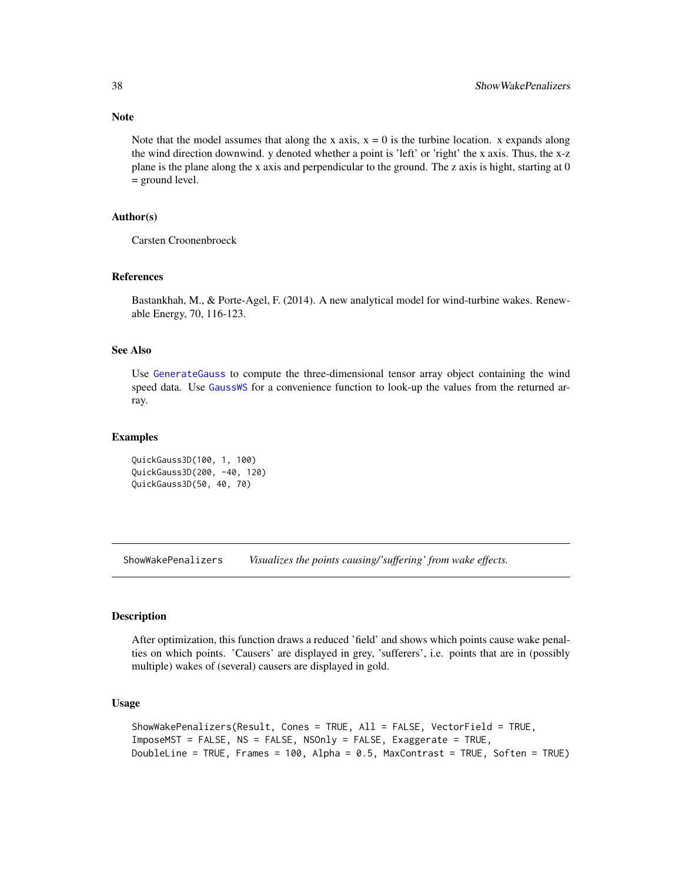Note

Note that the model assumes that along the x axis,  $x = 0$  is the turbine location. x expands along the wind direction downwind. y denoted whether a point is 'left' or 'right' the x axis. Thus, the x-z plane is the plane along the x axis and perpendicular to the ground. The z axis is hight, starting at 0 = ground level.

# Author(s)

Carsten Croonenbroeck

# References

Bastankhah, M., & Porte-Agel, F. (2014). A new analytical model for wind-turbine wakes. Renewable Energy, 70, 116-123.

# See Also

Use [GenerateGauss](#page-11-1) to compute the three-dimensional tensor array object containing the wind speed data. Use [GaussWS](#page-9-1) for a convenience function to look-up the values from the returned array.

#### Examples

```
QuickGauss3D(100, 1, 100)
QuickGauss3D(200, -40, 120)
QuickGauss3D(50, 40, 70)
```
<span id="page-37-1"></span>ShowWakePenalizers *Visualizes the points causing/'suffering' from wake effects.*

# Description

After optimization, this function draws a reduced 'field' and shows which points cause wake penalties on which points. 'Causers' are displayed in grey, 'sufferers', i.e. points that are in (possibly multiple) wakes of (several) causers are displayed in gold.

# Usage

```
ShowWakePenalizers(Result, Cones = TRUE, All = FALSE, VectorField = TRUE,
ImposeMST = FALSE, NS = FALSE, NSOnly = FALSE, Exaggerate = TRUE,
DoubleLine = TRUE, Frames = 100, Alpha = 0.5, MaxContrast = TRUE, Soften = TRUE)
```
<span id="page-37-0"></span>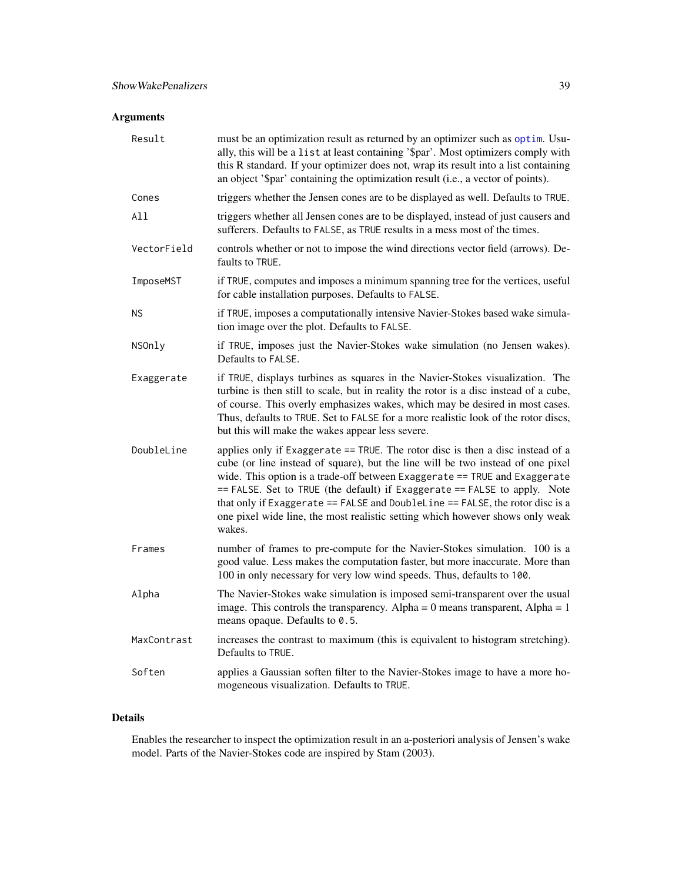# <span id="page-38-0"></span>Arguments

| Result      | must be an optimization result as returned by an optimizer such as optim. Usu-<br>ally, this will be a list at least containing '\$par'. Most optimizers comply with<br>this R standard. If your optimizer does not, wrap its result into a list containing<br>an object '\$par' containing the optimization result (i.e., a vector of points).                                                                                                                                                              |
|-------------|--------------------------------------------------------------------------------------------------------------------------------------------------------------------------------------------------------------------------------------------------------------------------------------------------------------------------------------------------------------------------------------------------------------------------------------------------------------------------------------------------------------|
| Cones       | triggers whether the Jensen cones are to be displayed as well. Defaults to TRUE.                                                                                                                                                                                                                                                                                                                                                                                                                             |
| All         | triggers whether all Jensen cones are to be displayed, instead of just causers and<br>sufferers. Defaults to FALSE, as TRUE results in a mess most of the times.                                                                                                                                                                                                                                                                                                                                             |
| VectorField | controls whether or not to impose the wind directions vector field (arrows). De-<br>faults to TRUE.                                                                                                                                                                                                                                                                                                                                                                                                          |
| ImposeMST   | if TRUE, computes and imposes a minimum spanning tree for the vertices, useful<br>for cable installation purposes. Defaults to FALSE.                                                                                                                                                                                                                                                                                                                                                                        |
| ΝS          | if TRUE, imposes a computationally intensive Navier-Stokes based wake simula-<br>tion image over the plot. Defaults to FALSE.                                                                                                                                                                                                                                                                                                                                                                                |
| NSOnly      | if TRUE, imposes just the Navier-Stokes wake simulation (no Jensen wakes).<br>Defaults to FALSE.                                                                                                                                                                                                                                                                                                                                                                                                             |
| Exaggerate  | if TRUE, displays turbines as squares in the Navier-Stokes visualization. The<br>turbine is then still to scale, but in reality the rotor is a disc instead of a cube,<br>of course. This overly emphasizes wakes, which may be desired in most cases.<br>Thus, defaults to TRUE. Set to FALSE for a more realistic look of the rotor discs,<br>but this will make the wakes appear less severe.                                                                                                             |
| DoubleLine  | applies only if Exaggerate == TRUE. The rotor disc is then a disc instead of a<br>cube (or line instead of square), but the line will be two instead of one pixel<br>wide. This option is a trade-off between Exaggerate == TRUE and Exaggerate<br>== FALSE. Set to TRUE (the default) if Exaggerate == FALSE to apply. Note<br>that only if Exaggerate $==$ FALSE and DoubleLine $==$ FALSE, the rotor disc is a<br>one pixel wide line, the most realistic setting which however shows only weak<br>wakes. |
| Frames      | number of frames to pre-compute for the Navier-Stokes simulation. 100 is a<br>good value. Less makes the computation faster, but more inaccurate. More than<br>100 in only necessary for very low wind speeds. Thus, defaults to 100.                                                                                                                                                                                                                                                                        |
| Alpha       | The Navier-Stokes wake simulation is imposed semi-transparent over the usual<br>image. This controls the transparency. Alpha = $0$ means transparent, Alpha = $1$<br>means opaque. Defaults to 0.5.                                                                                                                                                                                                                                                                                                          |
| MaxContrast | increases the contrast to maximum (this is equivalent to histogram stretching).<br>Defaults to TRUE.                                                                                                                                                                                                                                                                                                                                                                                                         |
| Soften      | applies a Gaussian soften filter to the Navier-Stokes image to have a more ho-<br>mogeneous visualization. Defaults to TRUE.                                                                                                                                                                                                                                                                                                                                                                                 |

# Details

Enables the researcher to inspect the optimization result in an a-posteriori analysis of Jensen's wake model. Parts of the Navier-Stokes code are inspired by Stam (2003).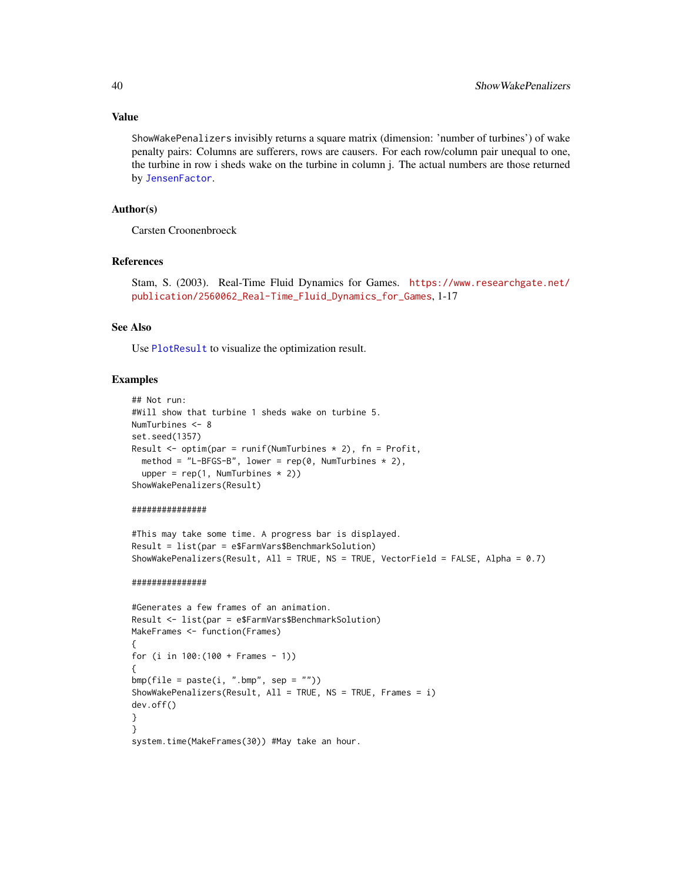#### Value

ShowWakePenalizers invisibly returns a square matrix (dimension: 'number of turbines') of wake penalty pairs: Columns are sufferers, rows are causers. For each row/column pair unequal to one, the turbine in row i sheds wake on the turbine in column j. The actual numbers are those returned by [JensenFactor](#page-23-1).

# Author(s)

Carsten Croonenbroeck

#### References

Stam, S. (2003). Real-Time Fluid Dynamics for Games. [https://www.researchgate.net/](https://www.researchgate.net/publication/2560062_Real-Time_Fluid_Dynamics_for_Games) [publication/2560062\\_Real-Time\\_Fluid\\_Dynamics\\_for\\_Games](https://www.researchgate.net/publication/2560062_Real-Time_Fluid_Dynamics_for_Games), 1-17

#### See Also

Use [PlotResult](#page-30-1) to visualize the optimization result.

# Examples

```
## Not run:
#Will show that turbine 1 sheds wake on turbine 5.
NumTurbines <- 8
set.seed(1357)
Result \leq optim(par = runif(NumTurbines * 2), fn = Profit,
  method = "L-BFGS-B", lower = rep(0, NumTurbines * 2),
  upper = rep(1, NumTurbines * 2))ShowWakePenalizers(Result)
```
#### ###############

```
#This may take some time. A progress bar is displayed.
Result = list(par = e$FarmVars$BenchmarkSolution)
ShowWakePenalizers(Result, All = TRUE, NS = TRUE, VectorField = FALSE, Alpha = 0.7)
```
#### ###############

```
#Generates a few frames of an animation.
Result <- list(par = e$FarmVars$BenchmarkSolution)
MakeFrames <- function(Frames)
{
for (i in 100:(100 + Frames - 1))
{
bmp(file = paste(i, ".bmp", sep = ""))ShowWakePenalizers(Result, All = TRUE, NS = TRUE, Frames = i)
dev.off()
}
}
system.time(MakeFrames(30)) #May take an hour.
```
<span id="page-39-0"></span>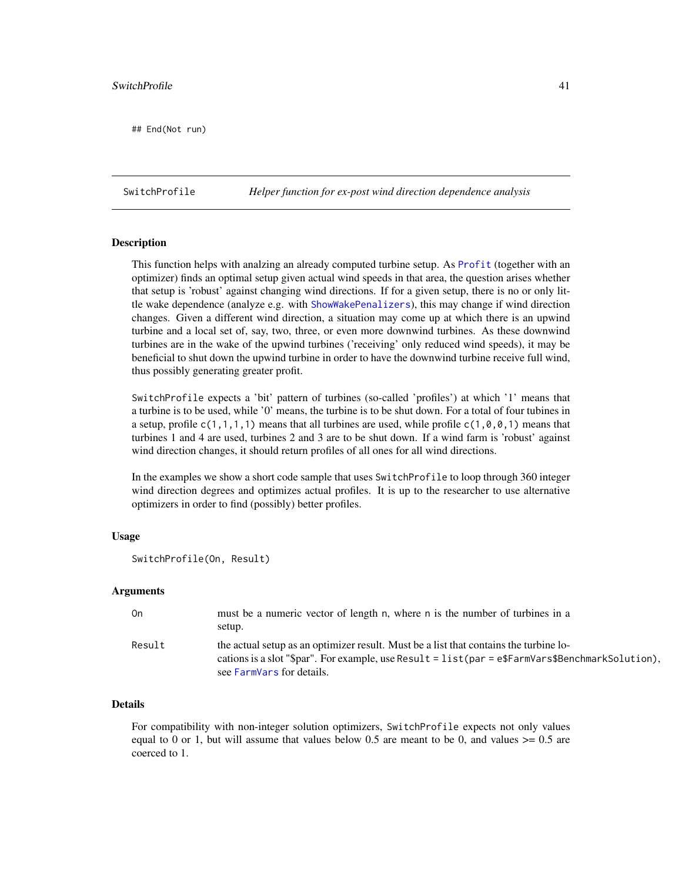#### <span id="page-40-0"></span>SwitchProfile 41

## End(Not run)

SwitchProfile *Helper function for ex-post wind direction dependence analysis*

# Description

This function helps with analzing an already computed turbine setup. As [Profit](#page-33-1) (together with an optimizer) finds an optimal setup given actual wind speeds in that area, the question arises whether that setup is 'robust' against changing wind directions. If for a given setup, there is no or only little wake dependence (analyze e.g. with [ShowWakePenalizers](#page-37-1)), this may change if wind direction changes. Given a different wind direction, a situation may come up at which there is an upwind turbine and a local set of, say, two, three, or even more downwind turbines. As these downwind turbines are in the wake of the upwind turbines ('receiving' only reduced wind speeds), it may be beneficial to shut down the upwind turbine in order to have the downwind turbine receive full wind, thus possibly generating greater profit.

SwitchProfile expects a 'bit' pattern of turbines (so-called 'profiles') at which '1' means that a turbine is to be used, while '0' means, the turbine is to be shut down. For a total of four tubines in a setup, profile  $c(1,1,1,1)$  means that all turbines are used, while profile  $c(1,0,0,1)$  means that turbines 1 and 4 are used, turbines 2 and 3 are to be shut down. If a wind farm is 'robust' against wind direction changes, it should return profiles of all ones for all wind directions.

In the examples we show a short code sample that uses SwitchProfile to loop through 360 integer wind direction degrees and optimizes actual profiles. It is up to the researcher to use alternative optimizers in order to find (possibly) better profiles.

# Usage

```
SwitchProfile(On, Result)
```
# Arguments

| 0n     | must be a numeric vector of length n, where n is the number of turbines in a<br>setup.                                                                                                                                 |
|--------|------------------------------------------------------------------------------------------------------------------------------------------------------------------------------------------------------------------------|
| Result | the actual setup as an optimizer result. Must be a list that contains the turbine lo-<br>cations is a slot "\$par". For example, use Result = list(par = e\$FarmVars\$BenchmarkSolution),<br>see FarmVars for details. |

# Details

For compatibility with non-integer solution optimizers, SwitchProfile expects not only values equal to 0 or 1, but will assume that values below 0.5 are meant to be 0, and values  $\geq 0.5$  are coerced to 1.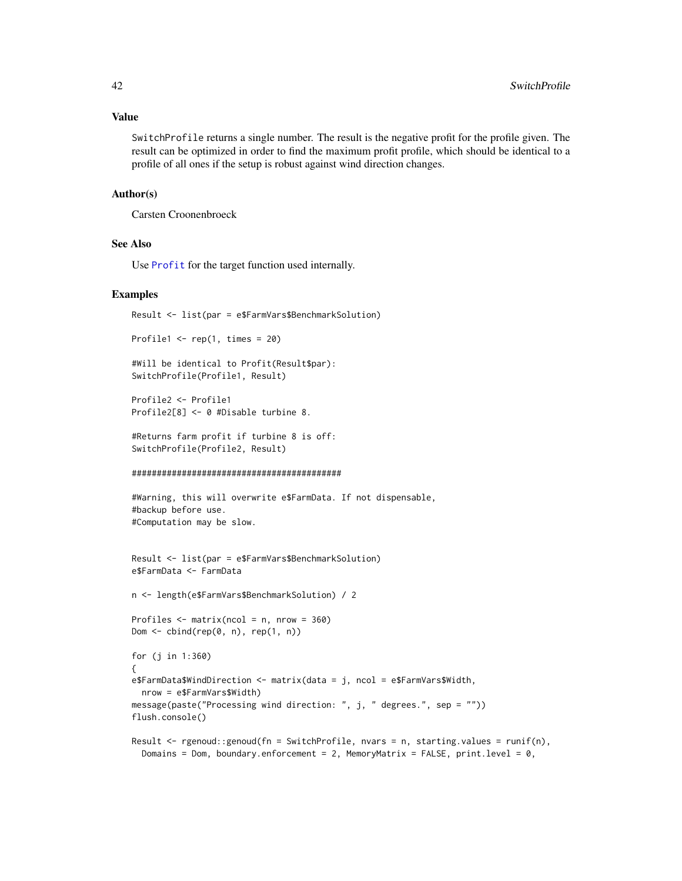#### <span id="page-41-0"></span>Value

SwitchProfile returns a single number. The result is the negative profit for the profile given. The result can be optimized in order to find the maximum profit profile, which should be identical to a profile of all ones if the setup is robust against wind direction changes.

# Author(s)

Carsten Croonenbroeck

# See Also

Use [Profit](#page-33-1) for the target function used internally.

#### Examples

Result <- list(par = e\$FarmVars\$BenchmarkSolution)

```
Profile1 \leq rep(1, times = 20)
```

```
#Will be identical to Profit(Result$par):
SwitchProfile(Profile1, Result)
```

```
Profile2 <- Profile1
Profile2[8] <- 0 #Disable turbine 8.
```

```
#Returns farm profit if turbine 8 is off:
SwitchProfile(Profile2, Result)
```

```
##########################################
```

```
#Warning, this will overwrite e$FarmData. If not dispensable,
#backup before use.
#Computation may be slow.
```

```
Result <- list(par = e$FarmVars$BenchmarkSolution)
e$FarmData <- FarmData
```

```
n <- length(e$FarmVars$BenchmarkSolution) / 2
```

```
Profiles \leq matrix(ncol = n, nrow = 360)
Dom \leq cbind(rep(0, n), rep(1, n))
```

```
for (j in 1:360)
{
e$FarmData$WindDirection <- matrix(data = j, ncol = e$FarmVars$Width,
 nrow = e$FarmVars$Width)
message(paste("Processing wind direction: ", j, " degrees.", sep = ""))
flush.console()
```

```
Result \leq rgenoud::genoud(fn = SwitchProfile, nvars = n, starting.values = runif(n),
 Domains = Dom, boundary.enforcement = 2, MemoryMatrix = FALSE, print.level = 0,
```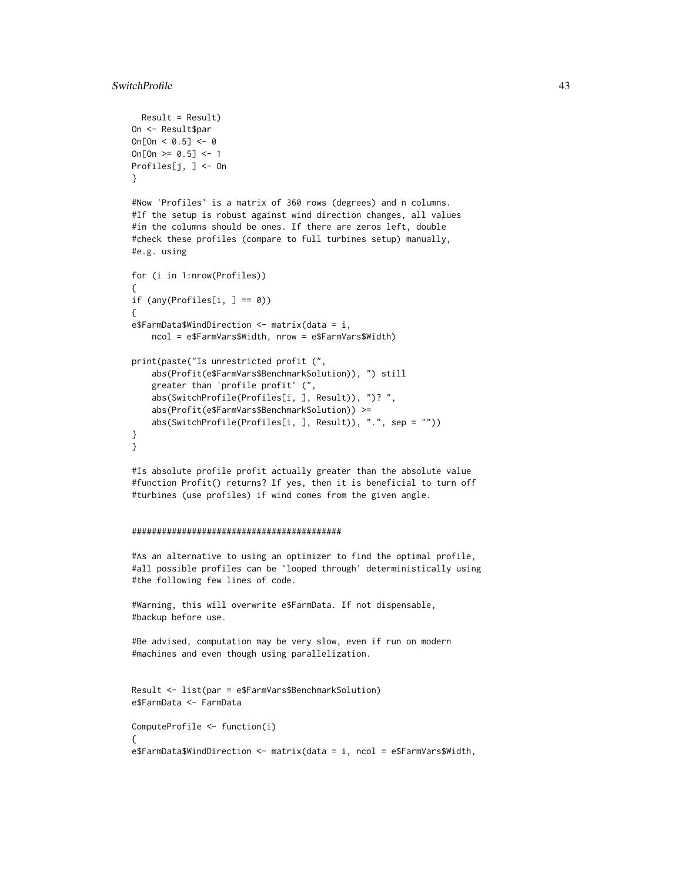```
Result = Result)
On <- Result$par
On[On < 0.5] < -0On[On > = 0.5] < -1Profiles[j, ] <- On
}
```
#Now 'Profiles' is a matrix of 360 rows (degrees) and n columns. #If the setup is robust against wind direction changes, all values #in the columns should be ones. If there are zeros left, double #check these profiles (compare to full turbines setup) manually, #e.g. using

```
for (i in 1:nrow(Profiles))
{
if (any(Profiles[i, ] == 0))
{
e$FarmData$WindDirection \leq matrix(data = i,
    ncol = e$FarmVars$Width, nrow = e$FarmVars$Width)
print(paste("Is unrestricted profit (",
    abs(Profit(e$FarmVars$BenchmarkSolution)), ") still
    greater than 'profile profit' (",
    abs(SwitchProfile(Profiles[i, ], Result)), ")? ",
    abs(Profit(e$FarmVars$BenchmarkSolution)) >=
    abs(SwitchProfile(Profiles[i, ], Result)), ".", sep = ""))
}
}
```
#Is absolute profile profit actually greater than the absolute value #function Profit() returns? If yes, then it is beneficial to turn off #turbines (use profiles) if wind comes from the given angle.

#### ##########################################

#As an alternative to using an optimizer to find the optimal profile, #all possible profiles can be 'looped through' deterministically using #the following few lines of code.

#Warning, this will overwrite e\$FarmData. If not dispensable, #backup before use.

#Be advised, computation may be very slow, even if run on modern #machines and even though using parallelization.

```
Result <- list(par = e$FarmVars$BenchmarkSolution)
e$FarmData <- FarmData
```

```
ComputeProfile <- function(i)
{
e$FarmData$WindDirection <- matrix(data = i, ncol = e$FarmVars$Width,
```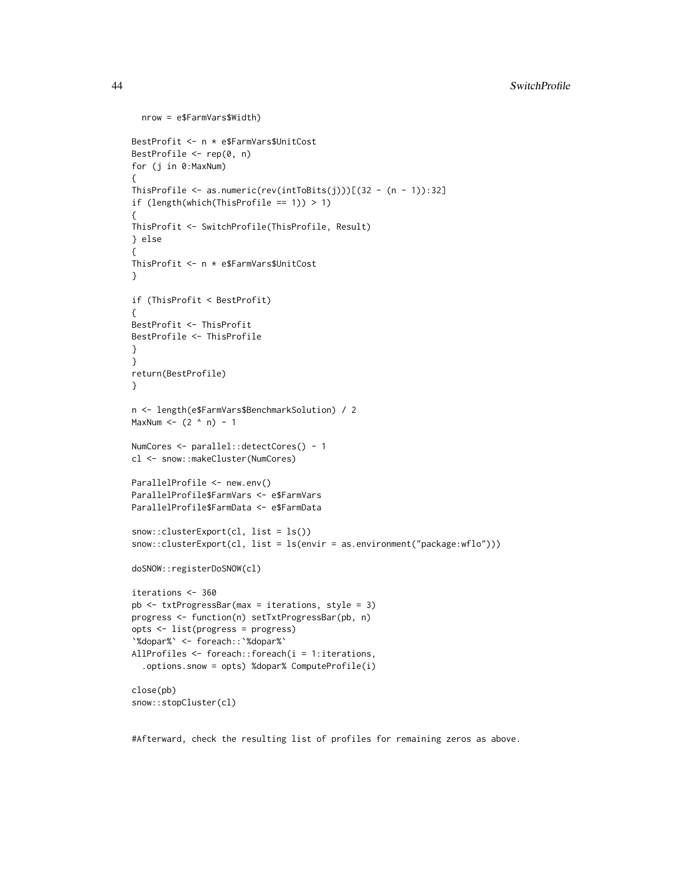```
nrow = e$FarmVars$Width)
BestProfit <- n * e$FarmVars$UnitCost
BestProfile <- rep(0, n)
for (j in 0:MaxNum)
{
ThisProfile \leq as.numeric(rev(intToBits(j)))[(32 - (n - 1)):32]
if (length(which(ThisProfile == 1)) > 1)
{
ThisProfit <- SwitchProfile(ThisProfile, Result)
} else
{
ThisProfit <- n * e$FarmVars$UnitCost
}
if (ThisProfit < BestProfit)
{
BestProfit <- ThisProfit
BestProfile <- ThisProfile
}
}
return(BestProfile)
}
n <- length(e$FarmVars$BenchmarkSolution) / 2
MaxNum <- (2 \land n) - 1NumCores <- parallel::detectCores() - 1
cl <- snow::makeCluster(NumCores)
ParallelProfile <- new.env()
ParallelProfile$FarmVars <- e$FarmVars
ParallelProfile$FarmData <- e$FarmData
snow::clusterExport(cl, list = ls())
snow::clusterExport(cl, list = ls(envir = as.environment("package:wflo")))
doSNOW::registerDoSNOW(cl)
iterations <- 360
pb <- txtProgressBar(max = iterations, style = 3)
progress <- function(n) setTxtProgressBar(pb, n)
opts <- list(progress = progress)
`%dopar%` <- foreach::`%dopar%`
AllProfiles <- foreach::foreach(i = 1:iterations,
  .options.snow = opts) %dopar% ComputeProfile(i)
close(pb)
snow::stopCluster(cl)
```
#Afterward, check the resulting list of profiles for remaining zeros as above.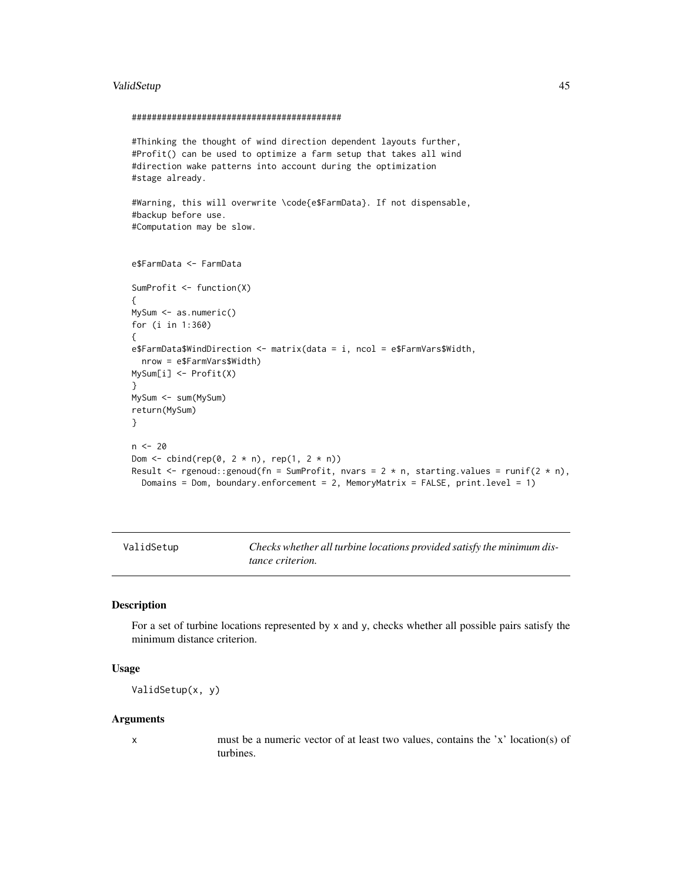#### <span id="page-44-0"></span>ValidSetup **45**

#### ##########################################

```
#Thinking the thought of wind direction dependent layouts further,
#Profit() can be used to optimize a farm setup that takes all wind
#direction wake patterns into account during the optimization
#stage already.
#Warning, this will overwrite \code{e$FarmData}. If not dispensable,
#backup before use.
#Computation may be slow.
e$FarmData <- FarmData
SumProfit <- function(X)
{
MySum <- as.numeric()
for (i in 1:360)
{
e$FarmData$WindDirection <- matrix(data = i, ncol = e$FarmVars$Width,
 nrow = e$FarmVars$Width)
MySum[i] <- Profit(X)
}
MySum <- sum(MySum)
return(MySum)
}
n < - 20Dom \le cbind(rep(0, 2 \star n), rep(1, 2 \star n))
Result \le - rgenoud::genoud(fn = SumProfit, nvars = 2 * n, starting.values = runif(2 * n),
  Domains = Dom, boundary.enforcement = 2, MemoryMatrix = FALSE, print.level = 1)
```
<span id="page-44-1"></span>ValidSetup *Checks whether all turbine locations provided satisfy the minimum distance criterion.*

# Description

For a set of turbine locations represented by  $x$  and  $y$ , checks whether all possible pairs satisfy the minimum distance criterion.

#### Usage

ValidSetup(x, y)

#### Arguments

x must be a numeric vector of at least two values, contains the 'x' location(s) of turbines.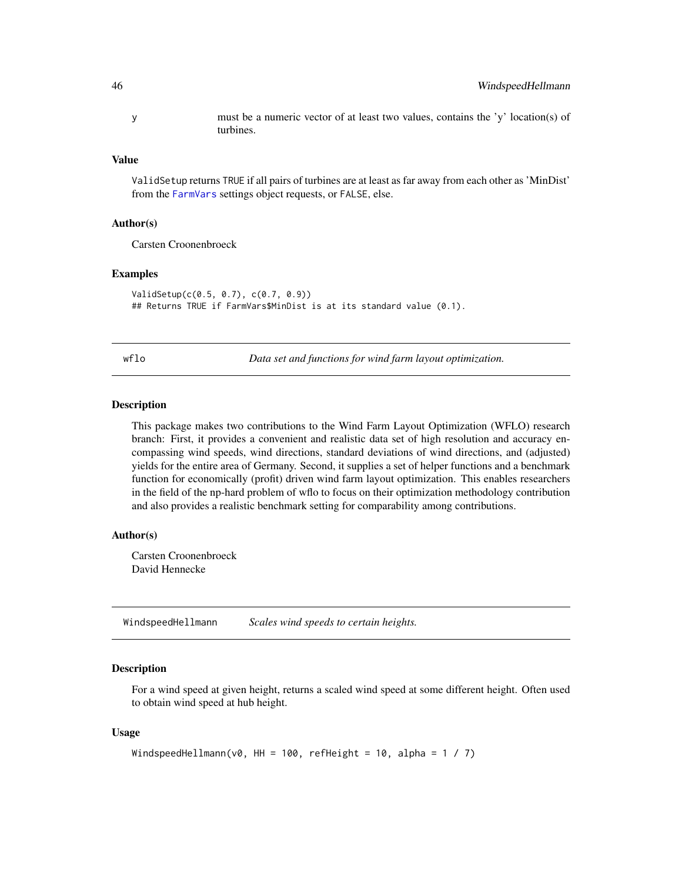<span id="page-45-0"></span>y must be a numeric vector of at least two values, contains the 'y' location(s) of turbines.

## Value

ValidSetup returns TRUE if all pairs of turbines are at least as far away from each other as 'MinDist' from the [FarmVars](#page-7-1) settings object requests, or FALSE, else.

# Author(s)

Carsten Croonenbroeck

# Examples

```
ValidSetup(c(0.5, 0.7), c(0.7, 0.9))
## Returns TRUE if FarmVars$MinDist is at its standard value (0.1).
```
wflo *Data set and functions for wind farm layout optimization.*

#### **Description**

This package makes two contributions to the Wind Farm Layout Optimization (WFLO) research branch: First, it provides a convenient and realistic data set of high resolution and accuracy encompassing wind speeds, wind directions, standard deviations of wind directions, and (adjusted) yields for the entire area of Germany. Second, it supplies a set of helper functions and a benchmark function for economically (profit) driven wind farm layout optimization. This enables researchers in the field of the np-hard problem of wflo to focus on their optimization methodology contribution and also provides a realistic benchmark setting for comparability among contributions.

#### Author(s)

Carsten Croonenbroeck David Hennecke

<span id="page-45-1"></span>WindspeedHellmann *Scales wind speeds to certain heights.*

# **Description**

For a wind speed at given height, returns a scaled wind speed at some different height. Often used to obtain wind speed at hub height.

#### Usage

```
WindspeedHellmann(v0, HH = 100, refHeight = 10, alpha = 1 / 7)
```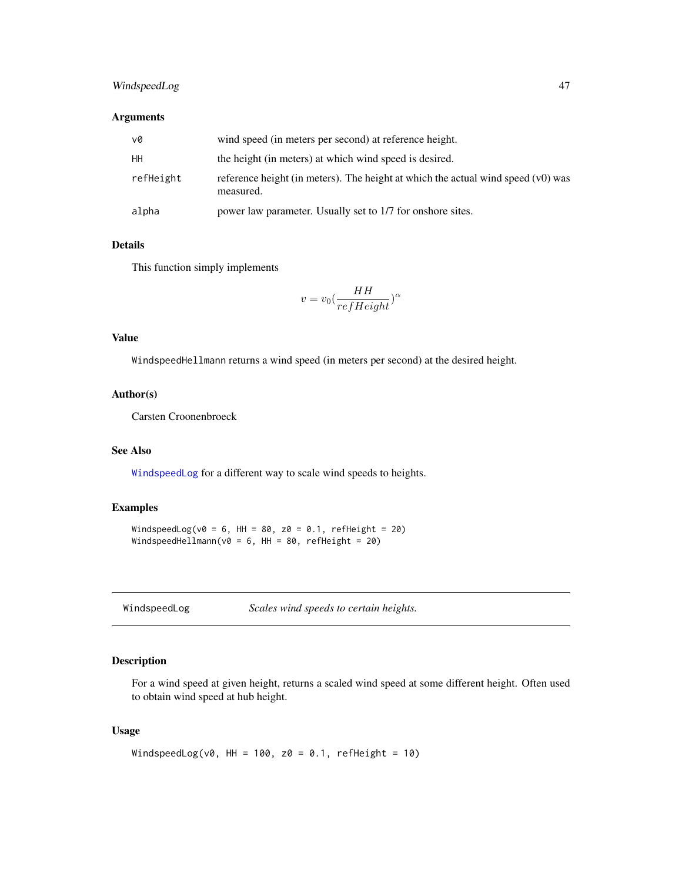# <span id="page-46-0"></span>WindspeedLog 47

# Arguments

| v0        | wind speed (in meters per second) at reference height.                                        |
|-----------|-----------------------------------------------------------------------------------------------|
| HН        | the height (in meters) at which wind speed is desired.                                        |
| refHeight | reference height (in meters). The height at which the actual wind speed (v0) was<br>measured. |
| alpha     | power law parameter. Usually set to 1/7 for onshore sites.                                    |

# Details

This function simply implements

$$
v=v_0(\frac{HH}{refHeight})^{\alpha}
$$

# Value

WindspeedHellmann returns a wind speed (in meters per second) at the desired height.

# Author(s)

Carsten Croonenbroeck

# See Also

[WindspeedLog](#page-46-1) for a different way to scale wind speeds to heights.

# Examples

WindspeedLog(v0 = 6, HH = 80, z0 = 0.1, refHeight = 20) WindspeedHellmann(v0 = 6, HH = 80, refHeight = 20)

<span id="page-46-1"></span>

| WindspeedLog |  |
|--------------|--|
|--------------|--|

Scales wind speeds to certain heights.

# Description

For a wind speed at given height, returns a scaled wind speed at some different height. Often used to obtain wind speed at hub height.

#### Usage

```
WindspeedLog(v0, HH = 100, z0 = 0.1, refHeight = 10)
```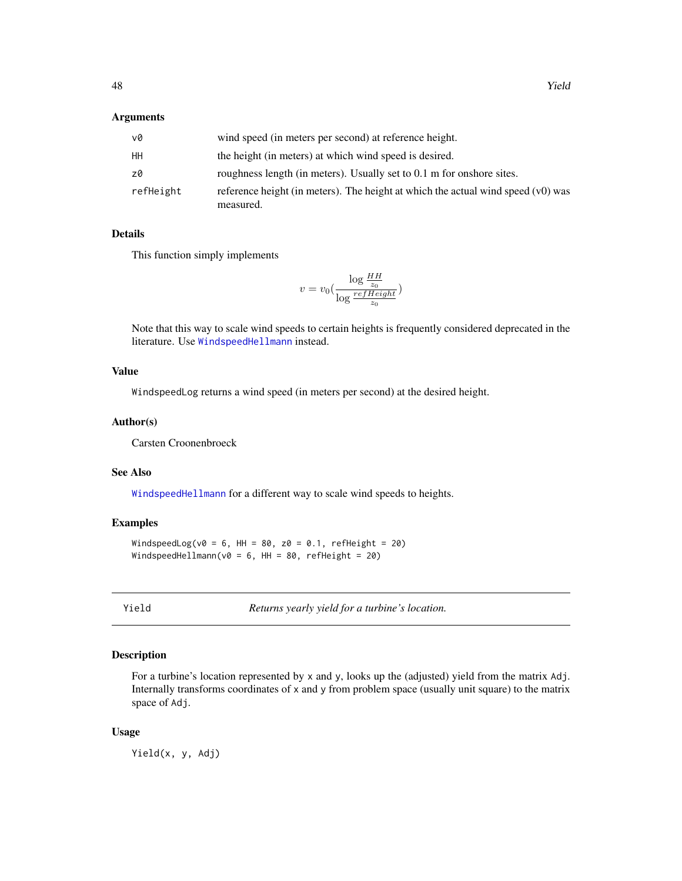#### <span id="page-47-0"></span>Arguments

| v0        | wind speed (in meters per second) at reference height.                                        |
|-----------|-----------------------------------------------------------------------------------------------|
| HН        | the height (in meters) at which wind speed is desired.                                        |
| z0        | roughness length (in meters). Usually set to 0.1 m for onshore sites.                         |
| refHeight | reference height (in meters). The height at which the actual wind speed (v0) was<br>measured. |

# Details

This function simply implements

$$
v = v_0 \left( \frac{\log \frac{HH}{z_0}}{\log \frac{refHeight}{z_0}} \right)
$$

Note that this way to scale wind speeds to certain heights is frequently considered deprecated in the literature. Use [WindspeedHellmann](#page-45-1) instead.

# Value

WindspeedLog returns a wind speed (in meters per second) at the desired height.

#### Author(s)

Carsten Croonenbroeck

#### See Also

[WindspeedHellmann](#page-45-1) for a different way to scale wind speeds to heights.

#### Examples

WindspeedLog(v0 = 6, HH = 80, z0 = 0.1, refHeight = 20) WindspeedHellmann(v0 = 6, HH = 80, refHeight = 20)

<span id="page-47-1"></span>

Yield *Returns yearly yield for a turbine's location.*

# Description

For a turbine's location represented by x and y, looks up the (adjusted) yield from the matrix Adj. Internally transforms coordinates of x and y from problem space (usually unit square) to the matrix space of Adj.

#### Usage

Yield(x, y, Adj)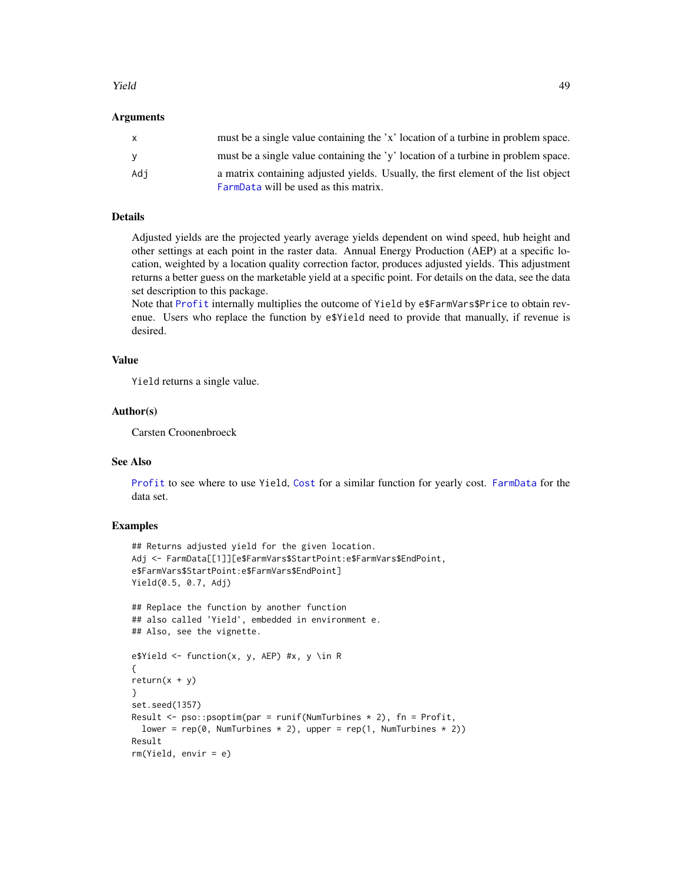#### <span id="page-48-0"></span>**The Second Contract of the Second Contract of the Second Contract of the Second Contract of the Second Contract of the Second Contract of the Second Contract of the Second Contract of the Second Contract of the Second Con**

#### Arguments

| $\mathsf{X}$ | must be a single value containing the 'x' location of a turbine in problem space.                                           |
|--------------|-----------------------------------------------------------------------------------------------------------------------------|
| <b>y</b>     | must be a single value containing the 'y' location of a turbine in problem space.                                           |
| Adi          | a matrix containing adjusted yields. Usually, the first element of the list object<br>FarmData will be used as this matrix. |

# Details

Adjusted yields are the projected yearly average yields dependent on wind speed, hub height and other settings at each point in the raster data. Annual Energy Production (AEP) at a specific location, weighted by a location quality correction factor, produces adjusted yields. This adjustment returns a better guess on the marketable yield at a specific point. For details on the data, see the data set description to this package.

Note that [Profit](#page-33-1) internally multiplies the outcome of Yield by e\$FarmVars\$Price to obtain revenue. Users who replace the function by e\$Yield need to provide that manually, if revenue is desired.

# Value

Yield returns a single value.

# Author(s)

Carsten Croonenbroeck

#### See Also

[Profit](#page-33-1) to see where to use Yield, [Cost](#page-4-1) for a similar function for yearly cost. [FarmData](#page-6-1) for the data set.

# Examples

```
## Returns adjusted yield for the given location.
Adj <- FarmData[[1]][e$FarmVars$StartPoint:e$FarmVars$EndPoint,
e$FarmVars$StartPoint:e$FarmVars$EndPoint]
Yield(0.5, 0.7, Adj)
## Replace the function by another function
## also called 'Yield', embedded in environment e.
## Also, see the vignette.
e$Yield <- function(x, y, AEP) #x, y \in R
{
return(x + y)}
set.seed(1357)
Result \leq pso::psoptim(par = runif(NumTurbines * 2), fn = Profit,
  lower = rep(\emptyset, NumTurbines * 2), upper = rep(1, NumTurbines * 2)Result
rm(Yield, envir = e)
```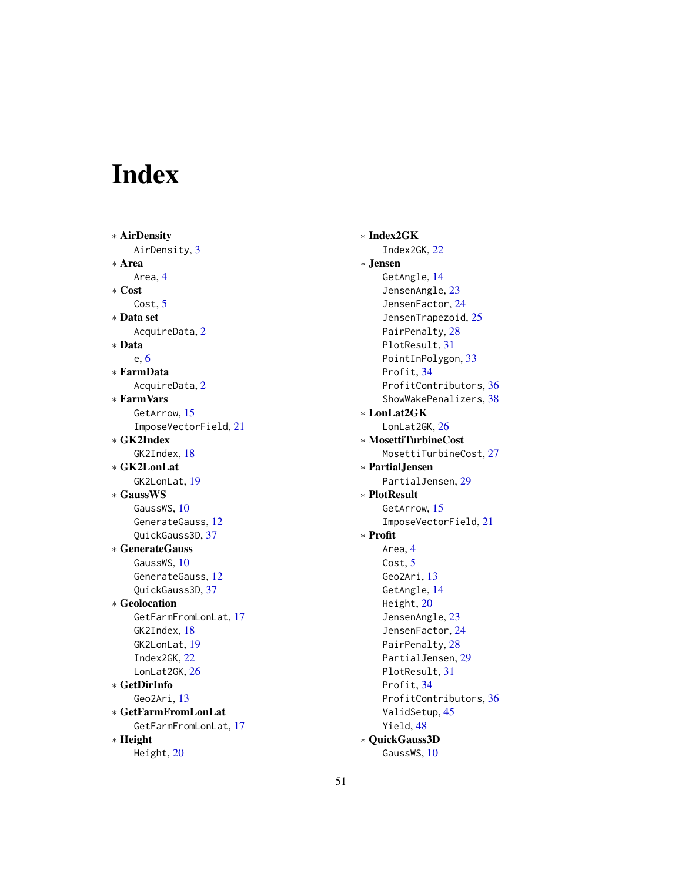# <span id="page-50-0"></span>Index

∗ AirDensity AirDensity, [3](#page-2-0) ∗ Area Area, [4](#page-3-0) ∗ Cost Cost, [5](#page-4-0) ∗ Data set AcquireData, [2](#page-1-0) ∗ Data e, [6](#page-5-0) ∗ FarmData AcquireData, [2](#page-1-0) ∗ FarmVars GetArrow, [15](#page-14-0) ImposeVectorField, [21](#page-20-0) ∗ GK2Index GK2Index, [18](#page-17-0) ∗ GK2LonLat GK2LonLat, [19](#page-18-0) ∗ GaussWS GaussWS, [10](#page-9-0) GenerateGauss, [12](#page-11-0) QuickGauss3D, [37](#page-36-0) ∗ GenerateGauss GaussWS, [10](#page-9-0) GenerateGauss, [12](#page-11-0) QuickGauss3D, [37](#page-36-0) ∗ Geolocation GetFarmFromLonLat, [17](#page-16-0) GK2Index, [18](#page-17-0) GK2LonLat, [19](#page-18-0) Index2GK, [22](#page-21-0) LonLat2GK, [26](#page-25-0) ∗ GetDirInfo Geo2Ari, [13](#page-12-0) ∗ GetFarmFromLonLat GetFarmFromLonLat, [17](#page-16-0) ∗ Height Height, [20](#page-19-0)

∗ Index2GK Index2GK, [22](#page-21-0) ∗ Jensen GetAngle, [14](#page-13-0) JensenAngle, [23](#page-22-0) JensenFactor, [24](#page-23-0) JensenTrapezoid, [25](#page-24-0) PairPenalty, [28](#page-27-0) PlotResult, [31](#page-30-0) PointInPolygon, [33](#page-32-0) Profit, [34](#page-33-0) ProfitContributors, [36](#page-35-0) ShowWakePenalizers, [38](#page-37-0) ∗ LonLat2GK LonLat2GK, [26](#page-25-0) ∗ MosettiTurbineCost MosettiTurbineCost, [27](#page-26-0) ∗ PartialJensen PartialJensen, [29](#page-28-0) ∗ PlotResult GetArrow, [15](#page-14-0) ImposeVectorField, [21](#page-20-0) ∗ Profit Area, [4](#page-3-0) Cost, [5](#page-4-0) Geo2Ari, [13](#page-12-0) GetAngle, [14](#page-13-0) Height, [20](#page-19-0) JensenAngle, [23](#page-22-0) JensenFactor, [24](#page-23-0) PairPenalty, [28](#page-27-0) PartialJensen, [29](#page-28-0) PlotResult, [31](#page-30-0) Profit, [34](#page-33-0) ProfitContributors, [36](#page-35-0) ValidSetup, [45](#page-44-0) Yield, [48](#page-47-0) ∗ QuickGauss3D GaussWS, [10](#page-9-0)